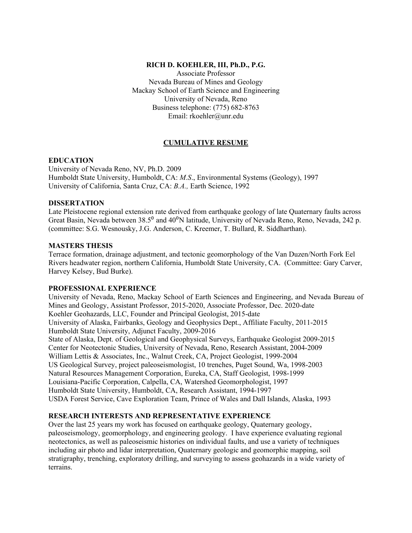### **RICH D. KOEHLER, III, Ph.D., P.G.**

Associate Professor Nevada Bureau of Mines and Geology Mackay School of Earth Science and Engineering University of Nevada, Reno Business telephone: (775) 682-8763 Email: rkoehler@unr.edu

# **CUMULATIVE RESUME**

#### **EDUCATION**

University of Nevada Reno, NV, Ph.D. 2009 Humboldt State University, Humboldt, CA: *M.S*., Environmental Systems (Geology), 1997 University of California, Santa Cruz, CA: *B.A.,* Earth Science, 1992

### **DISSERTATION**

Late Pleistocene regional extension rate derived from earthquake geology of late Quaternary faults across Great Basin, Nevada between 38.5<sup>0</sup> and 40<sup>0</sup>N latitude, University of Nevada Reno, Reno, Nevada, 242 p. (committee: S.G. Wesnousky, J.G. Anderson, C. Kreemer, T. Bullard, R. Siddharthan).

## **MASTERS THESIS**

Terrace formation, drainage adjustment, and tectonic geomorphology of the Van Duzen/North Fork Eel Rivers headwater region, northern California, Humboldt State University, CA. (Committee: Gary Carver, Harvey Kelsey, Bud Burke).

## **PROFESSIONAL EXPERIENCE**

University of Nevada, Reno, Mackay School of Earth Sciences and Engineering, and Nevada Bureau of Mines and Geology, Assistant Professor, 2015-2020, Associate Professor, Dec. 2020-date Koehler Geohazards, LLC, Founder and Principal Geologist, 2015-date University of Alaska, Fairbanks, Geology and Geophysics Dept., Affiliate Faculty, 2011-2015 Humboldt State University, Adjunct Faculty, 2009-2016 State of Alaska, Dept. of Geological and Geophysical Surveys, Earthquake Geologist 2009-2015 Center for Neotectonic Studies, University of Nevada, Reno, Research Assistant, 2004-2009 William Lettis & Associates, Inc., Walnut Creek, CA, Project Geologist, 1999-2004 US Geological Survey, project paleoseismologist, 10 trenches, Puget Sound, Wa, 1998-2003 Natural Resources Management Corporation, Eureka, CA, Staff Geologist, 1998-1999 Louisiana-Pacific Corporation, Calpella, CA, Watershed Geomorphologist, 1997 Humboldt State University, Humboldt, CA, Research Assistant, 1994-1997 USDA Forest Service, Cave Exploration Team, Prince of Wales and Dall Islands, Alaska, 1993

## **RESEARCH INTERESTS AND REPRESENTATIVE EXPERIENCE**

Over the last 25 years my work has focused on earthquake geology, Quaternary geology, paleoseismology, geomorphology, and engineering geology. I have experience evaluating regional neotectonics, as well as paleoseismic histories on individual faults, and use a variety of techniques including air photo and lidar interpretation, Quaternary geologic and geomorphic mapping, soil stratigraphy, trenching, exploratory drilling, and surveying to assess geohazards in a wide variety of terrains.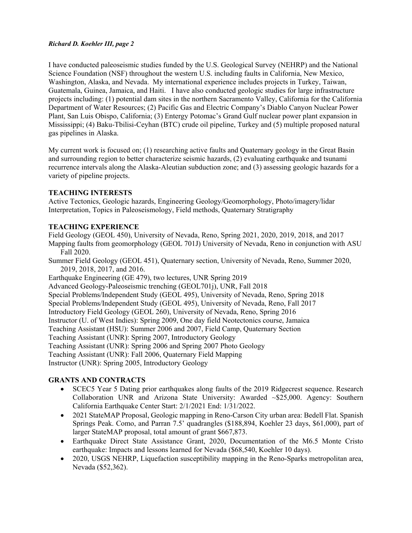I have conducted paleoseismic studies funded by the U.S. Geological Survey (NEHRP) and the National Science Foundation (NSF) throughout the western U.S. including faults in California, New Mexico, Washington, Alaska, and Nevada. My international experience includes projects in Turkey, Taiwan, Guatemala, Guinea, Jamaica, and Haiti. I have also conducted geologic studies for large infrastructure projects including: (1) potential dam sites in the northern Sacramento Valley, California for the California Department of Water Resources; (2) Pacific Gas and Electric Company's Diablo Canyon Nuclear Power Plant, San Luis Obispo, California; (3) Entergy Potomac's Grand Gulf nuclear power plant expansion in Mississippi; (4) Baku-Tbilisi-Ceyhan (BTC) crude oil pipeline, Turkey and (5) multiple proposed natural gas pipelines in Alaska.

My current work is focused on; (1) researching active faults and Quaternary geology in the Great Basin and surrounding region to better characterize seismic hazards, (2) evaluating earthquake and tsunami recurrence intervals along the Alaska-Aleutian subduction zone; and (3) assessing geologic hazards for a variety of pipeline projects.

## **TEACHING INTERESTS**

Active Tectonics, Geologic hazards, Engineering Geology/Geomorphology, Photo/imagery/lidar Interpretation, Topics in Paleoseismology, Field methods, Quaternary Stratigraphy

## **TEACHING EXPERIENCE**

Field Geology (GEOL 450), University of Nevada, Reno, Spring 2021, 2020, 2019, 2018, and 2017

Mapping faults from geomorphology (GEOL 701J) University of Nevada, Reno in conjunction with ASU Fall 2020.

Summer Field Geology (GEOL 451), Quaternary section, University of Nevada, Reno, Summer 2020, 2019, 2018, 2017, and 2016.

Earthquake Engineering (GE 479), two lectures, UNR Spring 2019

Advanced Geology-Paleoseismic trenching (GEOL701j), UNR, Fall 2018

Special Problems/Independent Study (GEOL 495), University of Nevada, Reno, Spring 2018

Special Problems/Independent Study (GEOL 495), University of Nevada, Reno, Fall 2017

Introductory Field Geology (GEOL 260), University of Nevada, Reno, Spring 2016

Instructor (U. of West Indies): Spring 2009, One day field Neotectonics course, Jamaica

Teaching Assistant (HSU): Summer 2006 and 2007, Field Camp, Quaternary Section

Teaching Assistant (UNR): Spring 2007, Introductory Geology

Teaching Assistant (UNR): Spring 2006 and Spring 2007 Photo Geology

Teaching Assistant (UNR): Fall 2006, Quaternary Field Mapping

Instructor (UNR): Spring 2005, Introductory Geology

## **GRANTS AND CONTRACTS**

- SCEC5 Year 5 Dating prior earthquakes along faults of the 2019 Ridgecrest sequence. Research Collaboration UNR and Arizona State University: Awarded ~\$25,000. Agency: Southern California Earthquake Center Start: 2/1/2021 End: 1/31/2022.
- 2021 StateMAP Proposal, Geologic mapping in Reno-Carson City urban area: Bedell Flat. Spanish Springs Peak. Como, and Parran 7.5' quadrangles (\$188,894, Koehler 23 days, \$61,000), part of larger StateMAP proposal, total amount of grant \$667,873.
- Earthquake Direct State Assistance Grant, 2020, Documentation of the M6.5 Monte Cristo earthquake: Impacts and lessons learned for Nevada (\$68,540, Koehler 10 days).
- 2020, USGS NEHRP, Liquefaction susceptibility mapping in the Reno-Sparks metropolitan area, Nevada (\$52,362).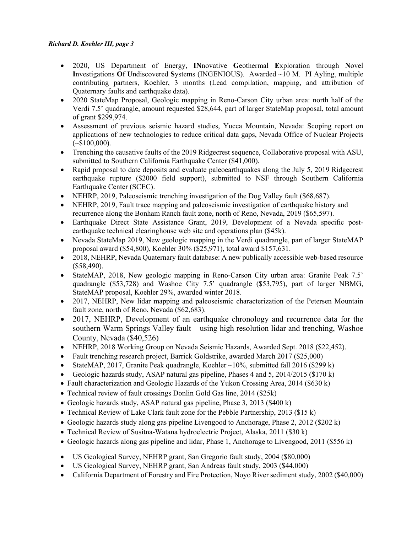- 2020, US Department of Energy, **IN**novative **G**eothermal **E**xploration through **N**ovel **I**nvestigations **O**f **U**ndiscovered **S**ystems (INGENIOUS). Awarded ~10 M. PI Ayling, multiple contributing partners, Koehler, 3 months (Lead compilation, mapping, and attribution of Quaternary faults and earthquake data).
- 2020 StateMap Proposal, Geologic mapping in Reno-Carson City urban area: north half of the Verdi 7.5' quadrangle, amount requested \$28,644, part of larger StateMap proposal, total amount of grant \$299,974.
- Assessment of previous seismic hazard studies, Yucca Mountain, Nevada: Scoping report on applications of new technologies to reduce critical data gaps, Nevada Office of Nuclear Projects  $(*\$100,000).$
- Trenching the causative faults of the 2019 Ridgecrest sequence, Collaborative proposal with ASU, submitted to Southern California Earthquake Center (\$41,000).
- Rapid proposal to date deposits and evaluate paleoearthquakes along the July 5, 2019 Ridgecrest earthquake rupture (\$2000 field support), submitted to NSF through Southern California Earthquake Center (SCEC).
- NEHRP, 2019, Paleoseismic trenching investigation of the Dog Valley fault (\$68,687).
- NEHRP, 2019, Fault trace mapping and paleoseismic investigation of earthquake history and recurrence along the Bonham Ranch fault zone, north of Reno, Nevada, 2019 (\$65,597).
- Earthquake Direct State Assistance Grant, 2019, Development of a Nevada specific postearthquake technical clearinghouse web site and operations plan (\$45k).
- Nevada StateMap 2019, New geologic mapping in the Verdi quadrangle, part of larger StateMAP proposal award (\$54,800), Koehler 30% (\$25,971), total award \$157,631.
- 2018, NEHRP, Nevada Quaternary fault database: A new publically accessible web-based resource (\$58,490).
- StateMAP, 2018, New geologic mapping in Reno-Carson City urban area: Granite Peak 7.5' quadrangle (\$53,728) and Washoe City 7.5' quadrangle (\$53,795), part of larger NBMG, StateMAP proposal, Koehler 29%, awarded winter 2018.
- 2017, NEHRP, New lidar mapping and paleoseismic characterization of the Petersen Mountain fault zone, north of Reno, Nevada (\$62,683).
- 2017, NEHRP, Development of an earthquake chronology and recurrence data for the southern Warm Springs Valley fault – using high resolution lidar and trenching, Washoe County, Nevada (\$40,526)
- NEHRP, 2018 Working Group on Nevada Seismic Hazards, Awarded Sept. 2018 (\$22,452).
- Fault trenching research project, Barrick Goldstrike, awarded March 2017 (\$25,000)
- StateMAP, 2017, Granite Peak quadrangle, Koehler  $\sim$ 10%, submitted fall 2016 (\$299 k)
- Geologic hazards study, ASAP natural gas pipeline, Phases 4 and 5, 2014/2015 (\$170 k)
- Fault characterization and Geologic Hazards of the Yukon Crossing Area, 2014 (\$630 k)
- Technical review of fault crossings Donlin Gold Gas line, 2014 (\$25k)
- Geologic hazards study, ASAP natural gas pipeline, Phase 3, 2013 (\$400 k)
- Technical Review of Lake Clark fault zone for the Pebble Partnership, 2013 (\$15 k)
- Geologic hazards study along gas pipeline Livengood to Anchorage, Phase 2, 2012 (\$202 k)
- Technical Review of Susitna-Watana hydroelectric Project, Alaska, 2011 (\$30 k)
- Geologic hazards along gas pipeline and lidar, Phase 1, Anchorage to Livengood, 2011 (\$556 k)
- US Geological Survey, NEHRP grant, San Gregorio fault study, 2004 (\$80,000)
- US Geological Survey, NEHRP grant, San Andreas fault study, 2003 (\$44,000)
- California Department of Forestry and Fire Protection, Noyo River sediment study, 2002 (\$40,000)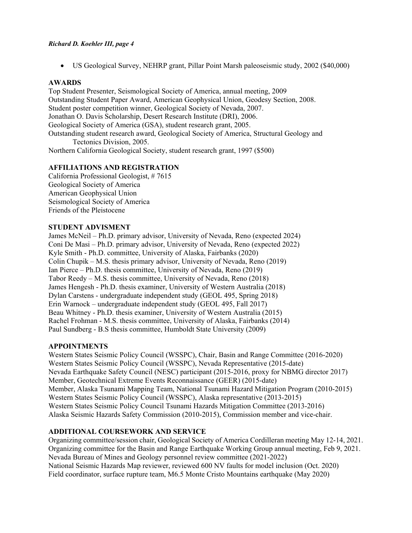• US Geological Survey, NEHRP grant, Pillar Point Marsh paleoseismic study, 2002 (\$40,000)

## **AWARDS**

Top Student Presenter, Seismological Society of America, annual meeting, 2009 Outstanding Student Paper Award, American Geophysical Union, Geodesy Section, 2008. Student poster competition winner, Geological Society of Nevada, 2007. Jonathan O. Davis Scholarship, Desert Research Institute (DRI), 2006. Geological Society of America (GSA), student research grant, 2005. Outstanding student research award, Geological Society of America, Structural Geology and Tectonics Division, 2005.

Northern California Geological Society, student research grant, 1997 (\$500)

## **AFFILIATIONS AND REGISTRATION**

California Professional Geologist, # 7615 Geological Society of America American Geophysical Union Seismological Society of America Friends of the Pleistocene

## **STUDENT ADVISMENT**

James McNeil – Ph.D. primary advisor, University of Nevada, Reno (expected 2024) Coni De Masi – Ph.D. primary advisor, University of Nevada, Reno (expected 2022) Kyle Smith - Ph.D. committee, University of Alaska, Fairbanks (2020) Colin Chupik – M.S. thesis primary advisor, University of Nevada, Reno (2019) Ian Pierce – Ph.D. thesis committee, University of Nevada, Reno (2019) Tabor Reedy – M.S. thesis committee, University of Nevada, Reno (2018) James Hengesh - Ph.D. thesis examiner, University of Western Australia (2018) Dylan Carstens - undergraduate independent study (GEOL 495, Spring 2018) Erin Warnock – undergraduate independent study (GEOL 495, Fall 2017) Beau Whitney - Ph.D. thesis examiner, University of Western Australia (2015) Rachel Frohman - M.S. thesis committee, University of Alaska, Fairbanks (2014) Paul Sundberg - B.S thesis committee, Humboldt State University (2009)

## **APPOINTMENTS**

Western States Seismic Policy Council (WSSPC), Chair, Basin and Range Committee (2016-2020) Western States Seismic Policy Council (WSSPC), Nevada Representative (2015-date) Nevada Earthquake Safety Council (NESC) participant (2015-2016, proxy for NBMG director 2017) Member, Geotechnical Extreme Events Reconnaissance (GEER) (2015-date) Member, Alaska Tsunami Mapping Team, National Tsunami Hazard Mitigation Program (2010-2015) Western States Seismic Policy Council (WSSPC), Alaska representative (2013-2015) Western States Seismic Policy Council Tsunami Hazards Mitigation Committee (2013-2016) Alaska Seismic Hazards Safety Commission (2010-2015), Commission member and vice-chair.

## **ADDITIONAL COURSEWORK AND SERVICE**

Organizing committee/session chair, Geological Society of America Cordilleran meeting May 12-14, 2021. Organizing committee for the Basin and Range Earthquake Working Group annual meeting, Feb 9, 2021. Nevada Bureau of Mines and Geology personnel review committee (2021-2022) National Seismic Hazards Map reviewer, reviewed 600 NV faults for model inclusion (Oct. 2020) Field coordinator, surface rupture team, M6.5 Monte Cristo Mountains earthquake (May 2020)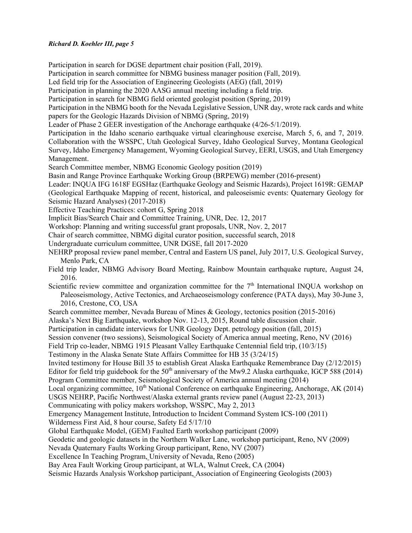Participation in search for DGSE department chair position (Fall, 2019). Participation in search committee for NBMG business manager position (Fall, 2019). Led field trip for the Association of Engineering Geologists (AEG) (fall, 2019) Participation in planning the 2020 AASG annual meeting including a field trip. Participation in search for NBMG field oriented geologist position (Spring, 2019) Participation in the NBMG booth for the Nevada Legislative Session, UNR day, wrote rack cards and white papers for the Geologic Hazards Division of NBMG (Spring, 2019) Leader of Phase 2 GEER investigation of the Anchorage earthquake (4/26-5/1/2019). Participation in the Idaho scenario earthquake virtual clearinghouse exercise, March 5, 6, and 7, 2019. Collaboration with the WSSPC, Utah Geological Survey, Idaho Geological Survey, Montana Geological Survey, Idaho Emergency Management, Wyoming Geological Survey, EERI, USGS, and Utah Emergency Management. Search Committee member, NBMG Economic Geology position (2019) Basin and Range Province Earthquake Working Group (BRPEWG) member (2016-present) Leader: INQUA IFG 1618F EGSHaz (Earthquake Geology and Seismic Hazards), Project 1619R: GEMAP (Geological Earthquake Mapping of recent, historical, and paleoseismic events: Quaternary Geology for Seismic Hazard Analyses) (2017-2018) Effective Teaching Practices: cohort G, Spring 2018 Implicit Bias/Search Chair and Committee Training, UNR, Dec. 12, 2017 Workshop: Planning and writing successful grant proposals, UNR, Nov. 2, 2017 Chair of search committee, NBMG digital curator position, successful search, 2018 Undergraduate curriculum committee, UNR DGSE, fall 2017-2020 NEHRP proposal review panel member, Central and Eastern US panel, July 2017, U.S. Geological Survey, Menlo Park, CA Field trip leader, NBMG Advisory Board Meeting, Rainbow Mountain earthquake rupture, August 24, 2016. Scientific review committee and organization committee for the  $7<sup>th</sup>$  International INQUA workshop on Paleoseismology, Active Tectonics, and Archaeoseismology conference (PATA days), May 30-June 3, 2016, Crestone, CO, USA Search committee member, Nevada Bureau of Mines & Geology, tectonics position (2015-2016) Alaska's Next Big Earthquake, workshop Nov. 12-13, 2015, Round table discussion chair. Participation in candidate interviews for UNR Geology Dept. petrology position (fall, 2015) Session convener (two sessions), Seismological Society of America annual meeting, Reno, NV (2016) Field Trip co-leader, NBMG 1915 Pleasant Valley Earthquake Centennial field trip, (10/3/15) Testimony in the Alaska Senate State Affairs Committee for HB 35 (3/24/15) Invited testimony for House Bill 35 to establish Great Alaska Earthquake Remembrance Day (2/12/2015) Editor for field trip guidebook for the 50<sup>th</sup> anniversary of the Mw9.2 Alaska earthquake, IGCP 588 (2014) Program Committee member, Seismological Society of America annual meeting (2014) Local organizing committee, 10<sup>th</sup> National Conference on earthquake Engineering, Anchorage, AK (2014) USGS NEHRP, Pacific Northwest/Alaska external grants review panel (August 22-23, 2013) Communicating with policy makers workshop, WSSPC, May 2, 2013 Emergency Management Institute, Introduction to Incident Command System ICS-100 (2011) Wilderness First Aid, 8 hour course, Safety Ed 5/17/10 Global Earthquake Model, (GEM) Faulted Earth workshop participant (2009) Geodetic and geologic datasets in the Northern Walker Lane, workshop participant, Reno, NV (2009) Nevada Quaternary Faults Working Group participant, Reno, NV (2007) Excellence In Teaching Program, University of Nevada, Reno (2005) Bay Area Fault Working Group participant, at WLA, Walnut Creek, CA (2004) Seismic Hazards Analysis Workshop participant, Association of Engineering Geologists (2003)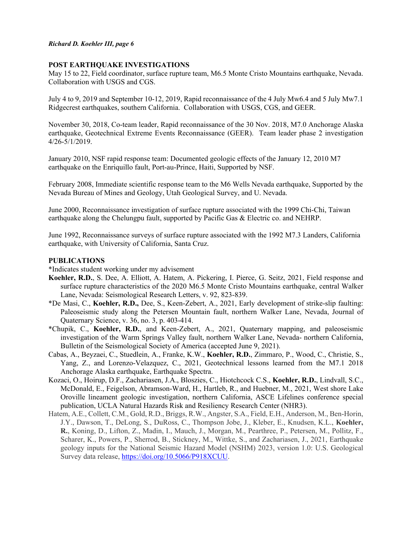### **POST EARTHQUAKE INVESTIGATIONS**

May 15 to 22, Field coordinator, surface rupture team, M6.5 Monte Cristo Mountains earthquake, Nevada. Collaboration with USGS and CGS.

July 4 to 9, 2019 and September 10-12, 2019, Rapid reconnaissance of the 4 July Mw6.4 and 5 July Mw7.1 Ridgecrest earthquakes, southern California. Collaboration with USGS, CGS, and GEER.

November 30, 2018, Co-team leader, Rapid reconnaissance of the 30 Nov. 2018, M7.0 Anchorage Alaska earthquake, Geotechnical Extreme Events Reconnaissance (GEER). Team leader phase 2 investigation 4/26-5/1/2019.

January 2010, NSF rapid response team: Documented geologic effects of the January 12, 2010 M7 earthquake on the Enriquillo fault, Port-au-Prince, Haiti, Supported by NSF.

February 2008, Immediate scientific response team to the M6 Wells Nevada earthquake, Supported by the Nevada Bureau of Mines and Geology, Utah Geological Survey, and U. Nevada.

June 2000, Reconnaissance investigation of surface rupture associated with the 1999 Chi-Chi, Taiwan earthquake along the Chelungpu fault, supported by Pacific Gas & Electric co. and NEHRP.

June 1992, Reconnaissance surveys of surface rupture associated with the 1992 M7.3 Landers, California earthquake, with University of California, Santa Cruz.

### **PUBLICATIONS**

\*Indicates student working under my advisement

- **Koehler, R.D.**, S. Dee, A. Elliott, A. Hatem, A. Pickering, I. Pierce, G. Seitz, 2021, Field response and surface rupture characteristics of the 2020 M6.5 Monte Cristo Mountains earthquake, central Walker Lane, Nevada: Seismological Research Letters, v. 92, 823-839.
- \*De Masi, C., **Koehler, R.D.,** Dee, S., Keen-Zebert, A., 2021, Early development of strike-slip faulting: Paleoseismic study along the Petersen Mountain fault, northern Walker Lane, Nevada, Journal of Quaternary Science, v. 36, no. 3, p. 403-414.
- \*Chupik, C., **Koehler, R.D.**, and Keen-Zebert, A., 2021, Quaternary mapping, and paleoseismic investigation of the Warm Springs Valley fault, northern Walker Lane, Nevada- northern California, Bulletin of the Seismological Society of America (accepted June 9, 2021).
- Cabas, A., Beyzaei, C., Stuedlein, A., Franke, K.W., **Koehler, R.D.**, Zimmaro, P., Wood, C., Christie, S., Yang, Z., and Lorenzo-Velazquez, C., 2021, Geotechnical lessons learned from the M7.1 2018 Anchorage Alaska earthquake, Earthquake Spectra.
- Kozaci, O., Hoirup, D.F., Zachariasen, J.A., Bloszies, C., Hiotchcock C.S., **Koehler, R.D.**, Lindvall, S.C., McDonald, E., Feigelson, Abramson-Ward, H., Hartleb, R., and Huebner, M., 2021, West shore Lake Oroville lineament geologic investigation, northern California, ASCE Lifelines conference special publication, UCLA Natural Hazards Risk and Resiliency Research Center (NHR3).
- Hatem, A.E., Collett, C.M., Gold, R.D., Briggs, R.W., Angster, S.A., Field, E.H., Anderson, M., Ben-Horin, J.Y., Dawson, T., DeLong, S., DuRoss, C., Thompson Jobe, J., Kleber, E., Knudsen, K.L., **Koehler, R.**, Koning, D., Lifton, Z., Madin, I., Mauch, J., Morgan, M., Pearthree, P., Petersen, M., Pollitz, F., Scharer, K., Powers, P., Sherrod, B., Stickney, M., Wittke, S., and Zachariasen, J., 2021, Earthquake geology inputs for the National Seismic Hazard Model (NSHM) 2023, version 1.0: U.S. Geological Survey data release, [https://doi.org/10.5066/P918XCUU.](https://doi.org/10.5066/P918XCUU)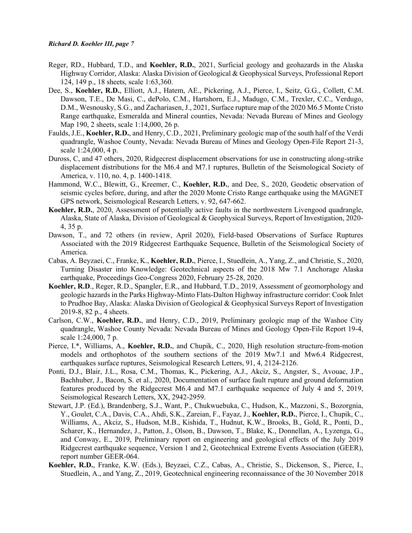- Reger, RD., Hubbard, T.D., and **Koehler, R.D.**, 2021, Surficial geology and geohazards in the Alaska Highway Corridor, Alaska: Alaska Division of Geological & Geophysical Surveys, Professional Report 124, 149 p., 18 sheets, scale 1:63,360.
- Dee, S., **Koehler, R.D.**, Elliott, A.J., Hatem, AE., Pickering, A.J., Pierce, I., Seitz, G.G., Collett, C.M. Dawson, T.E., De Masi, C., dePolo, C.M., Hartshorn, E.J., Madugo, C.M., Trexler, C.C., Verdugo, D.M., Wesnousky, S.G., and Zachariasen, J., 2021, Surface rupture map of the 2020 M6.5 Monte Cristo Range earthquake, Esmeralda and Mineral counties, Nevada: Nevada Bureau of Mines and Geology Map 190, 2 sheets, scale 1:14,000, 26 p.
- Faulds, J.E., **Koehler, R.D.**, and Henry, C.D., 2021, Preliminary geologic map of the south half of the Verdi quadrangle, Washoe County, Nevada: Nevada Bureau of Mines and Geology Open-File Report 21-3, scale 1:24,000, 4 p.
- Duross, C, and 47 others, 2020, Ridgecrest displacement observations for use in constructing along-strike displacement distributions for the M6.4 and M7.1 ruptures, Bulletin of the Seismological Society of America, v. 110, no. 4, p. 1400-1418.
- Hammond, W.C., Blewitt, G., Kreemer, C., **Koehler, R.D.**, and Dee, S., 2020, Geodetic observation of seismic cycles before, during, and after the 2020 Monte Cristo Range earthquake using the MAGNET GPS network, Seismological Research Letters, v. 92, 647-662.
- **Koehler, R.D.**, 2020, Assessment of potentially active faults in the northwestern Livengood quadrangle, Alaska, State of Alaska, Division of Geological & Geophysical Surveys, Report of Investigation, 2020- 4, 35 p.
- Dawson, T., and 72 others (in review, April 2020), Field-based Observations of Surface Ruptures Associated with the 2019 Ridgecrest Earthquake Sequence, Bulletin of the Seismological Society of America.
- Cabas, A. Beyzaei, C., Franke, K., **Koehler, R.D.**, Pierce, I., Stuedlein, A., Yang, Z., and Christie, S., 2020, Turning Disaster into Knowledge: Geotechnical aspects of the 2018 Mw 7.1 Anchorage Alaska earthquake, Proceedings Geo-Congress 2020, February 25-28, 2020.
- **Koehler, R.D**., Reger, R.D., Spangler, E.R., and Hubbard, T.D., 2019, Assessment of geomorphology and geologic hazards in the Parks Highway-Minto Flats-Dalton Highway infrastructure corridor: Cook Inlet to Prudhoe Bay, Alaska: Alaska Division of Geological & Geophysical Surveys Report of Investigation 2019-8, 82 p., 4 sheets.
- Carlson, C.W., **Koehler, R.D.**, and Henry, C.D., 2019, Preliminary geologic map of the Washoe City quadrangle, Washoe County Nevada: Nevada Bureau of Mines and Geology Open-File Report 19-4, scale 1:24,000, 7 p.
- Pierce, I.\*, Williams, A., **Koehler, R.D.**, and Chupik, C., 2020, High resolution structure-from-motion models and orthophotos of the southern sections of the 2019 Mw7.1 and Mw6.4 Ridgecrest, earthquakes surface ruptures, Seismological Research Letters, 91, 4, 2124-2126.
- Ponti, D.J., Blair, J.L., Rosa, C.M., Thomas, K., Pickering, A.J., Akciz, S., Angster, S., Avouac, J.P., Bachhuber, J., Bacon, S. et al., 2020, Documentation of surface fault rupture and ground deformation features produced by the Ridgecrest M6.4 and M7.1 earthquake sequence of July 4 and 5, 2019, Seismological Research Letters, XX, 2942-2959.
- Stewart, J.P. (Ed.), Brandenberg, S.J., Want, P., Chukwuebuka, C., Hudson, K., Mazzoni, S., Bozorgnia, Y., Goulet, C.A., Davis, C.A., Ahdi, S.K., Zareian, F., Fayaz, J., **Koehler, R.D.**, Pierce, I., Chupik, C., Williams, A., Akciz, S., Hudson, M.B., Kishida, T., Hudnut, K.W., Brooks, B., Gold, R., Ponti, D., Scharer, K., Hernandez, J., Patton, J., Olson, B., Dawson, T., Blake, K., Donnellan, A., Lyzenga, G., and Conway, E., 2019, Preliminary report on engineering and geological effects of the July 2019 Ridgecrest earthquake sequence, Version 1 and 2, Geotechnical Extreme Events Association (GEER), report number GEER-064.
- **Koehler, R.D.**, Franke, K.W. (Eds.), Beyzaei, C.Z., Cabas, A., Christie, S., Dickenson, S., Pierce, I., Stuedlein, A., and Yang, Z., 2019, Geotechnical engineering reconnaissance of the 30 November 2018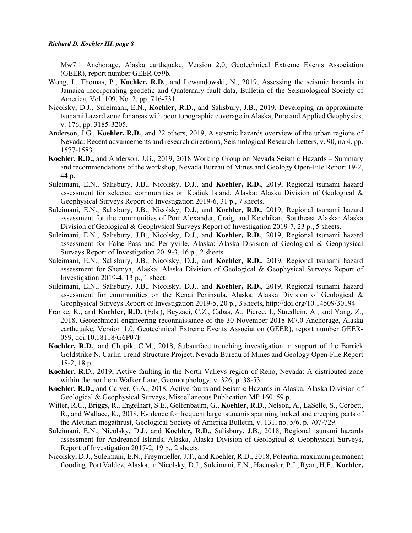Mw7.1 Anchorage, Alaska earthquake, Version 2.0, Geotechnical Extreme Events Association (GEER), report number GEER-059b.

- Wong, I., Thomas, P., **Koehler, R.D.**, and Lewandowski, N., 2019, Assessing the seismic hazards in Jamaica incorporating geodetic and Quaternary fault data, Bulletin of the Seismological Society of America, Vol. 109, No. 2, pp. 716-731.
- Nicolsky, D.J., Suleimani, E.N., **Koehler, R.D.**, and Salisbury, J.B., 2019, Developing an approximate tsunami hazard zone for areas with poor topographic coverage in Alaska, Pure and Applied Geophysics, v. 176, pp. 3185-3205.
- Anderson, J.G., **Koehler, R.D.**, and 22 others, 2019, A seismic hazards overview of the urban regions of Nevada: Recent advancements and research directions, Seismological Research Letters, v. 90, no 4, pp. 1577-1583.
- **Koehler, R.D.,** and Anderson, J.G., 2019, 2018 Working Group on Nevada Seismic Hazards Summary and recommendations of the workshop, Nevada Bureau of Mines and Geology Open-File Report 19-2, 44 p.
- Suleimani, E.N., Salisbury, J.B., Nicolsky, D.J., and **Koehler, R.D.**, 2019, Regional tsunami hazard assessment for selected communities on Kodiak Island, Alaska: Alaska Division of Geological & Geophysical Surveys Report of Investigation 2019-6, 31 p., 7 sheets.
- Suleimani, E.N., Salisbury, J.B., Nicolsky, D.J., and **Koehler, R.D.**, 2019, Regional tsunami hazard assessment for the communities of Port Alexander, Craig, and Ketchikan, Southeast Alaska: Alaska Division of Geological & Geophysical Surveys Report of Investigation 2019-7, 23 p., 5 sheets.
- Suleimani, E.N., Salisbury, J.B., Nicolsky, D.J., and **Koehler, R.D.**, 2019, Regional tsunami hazard assessment for False Pass and Perryville, Alaska: Alaska Division of Geological & Geophysical Surveys Report of Investigation 2019-3, 16 p., 2 sheets.
- Suleimani, E.N., Salisbury, J.B., Nicolsky, D.J., and **Koehler, R.D.**, 2019, Regional tsunami hazard assessment for Shemya, Alaska: Alaska Division of Geological & Geophysical Surveys Report of Investigation 2019-4, 13 p., 1 sheet.
- Suleimani, E.N., Salisbury, J.B., Nicolsky, D.J., and **Koehler, R.D.**, 2019, Regional tsunami hazard assessment for communities on the Kenai Peninsula, Alaska: Alaska Division of Geological & Geophysical Surveys Report of Investigation 2019-5, 20 p., 3 sheets,<http://doi.org/10.14509/30194>
- Franke, K., and **Koehler, R.D.** (Eds.), Beyzaei, C.Z., Cabas, A., Pierce, I., Stuedlein, A., and Yang, Z., 2018, Geotechnical engineering reconnaissance of the 30 November 2018 M7.0 Anchorage, Alaska earthquake, Version 1.0, Geotechnical Extreme Events Association (GEER), report number GEER-059, doi:10.18118/G6P07F
- **Koehler, R.D.**, and Chupik, C.M., 2018, Subsurface trenching investigation in support of the Barrick Goldstrike N. Carlin Trend Structure Project, Nevada Bureau of Mines and Geology Open-File Report 18-2, 18 p.
- **Koehler, R.**D., 2019, Active faulting in the North Valleys region of Reno, Nevada: A distributed zone within the northern Walker Lane, Geomorphology, v. 326, p. 38-53.
- **Koehler, R.D.,** and Carver, G.A., 2018, Active faults and Seismic Hazards in Alaska, Alaska Division of Geological & Geophysical Surveys, Miscellaneous Publication MP 160, 59 p.
- Witter, R.C., Briggs, R., Engelhart, S.E., Gelfenbaum, G., **Koehler, R.D.**, Nelson, A., LaSelle, S., Corbett, R., and Wallace, K., 2018, Evidence for frequent large tsunamis spanning locked and creeping parts of the Aleutian megathrust, Geological Society of America Bulletin, v. 131, no. 5/6, p. 707-729.
- Suleimani, E.N., Nicolsky, D.J., and **Koehler, R.D.**, Salisbury, J.B., 2018, Regional tsunami hazards assessment for Andreanof Islands, Alaska, Alaska Division of Geological & Geophysical Surveys, Report of Investigation 2017-2, 19 p., 2 sheets.
- Nicolsky, D.J., Suleimani, E.N., Freymueller, J.T., and Koehler, R.D., 2018, Potential maximum permanent flooding, Port Valdez, Alaska, in Nicolsky, D.J., Suleimani, E.N., Haeussler, P.J., Ryan, H.F., **Koehler,**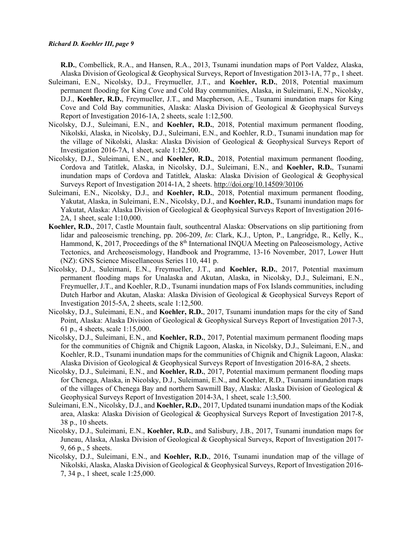**R.D.**, Combellick, R.A., and Hansen, R.A., 2013, Tsunami inundation maps of Port Valdez, Alaska, Alaska Division of Geological & Geophysical Surveys, Report of Investigation 2013-1A, 77 p., 1 sheet.

- Suleimani, E.N., Nicolsky, D.J., Freymueller, J.T., and **Koehler, R.D.**, 2018, Potential maximum permanent flooding for King Cove and Cold Bay communities, Alaska, in Suleimani, E.N., Nicolsky, D.J., **Koehler, R.D.**, Freymueller, J.T., and Macpherson, A.E., Tsunami inundation maps for King Cove and Cold Bay communities, Alaska: Alaska Division of Geological & Geophysical Surveys Report of Investigation 2016-1A, 2 sheets, scale 1:12,500.
- Nicolsky, D.J., Suleimani, E.N., and **Koehler, R.D.**, 2018, Potential maximum permanent flooding, Nikolski, Alaska, in Nicolsky, D.J., Suleimani, E.N., and Koehler, R.D., Tsunami inundation map for the village of Nikolski, Alaska: Alaska Division of Geological & Geophysical Surveys Report of Investigation 2016-7A, 1 sheet, scale 1:12,500.
- Nicolsky, D.J., Suleimani, E.N., and **Koehler, R.D.**, 2018, Potential maximum permanent flooding, Cordova and Tatitlek, Alaska, in Nicolsky, D.J., Suleimani, E.N., and **Koehler, R.D.**, Tsunami inundation maps of Cordova and Tatitlek, Alaska: Alaska Division of Geological & Geophysical Surveys Report of Investigation 2014-1A, 2 sheets.<http://doi.org/10.14509/30106>
- Suleimani, E.N., Nicolsky, D.J., and **Koehler, R.D.**, 2018, Potential maximum permanent flooding, Yakutat, Alaska, in Suleimani, E.N., Nicolsky, D.J., and **Koehler, R.D.**, Tsunami inundation maps for Yakutat, Alaska: Alaska Division of Geological & Geophysical Surveys Report of Investigation 2016- 2A, 1 sheet, scale 1:10,000.
- **Koehler, R.D.**, 2017, Castle Mountain fault, southcentral Alaska: Observations on slip partitioning from lidar and paleoseismic trenching, pp. 206-209, *In*: Clark, K.J., Upton, P., Langridge, R., Kelly, K., Hammond, K, 2017, Proceedings of the 8<sup>th</sup> International INQUA Meeting on Paleoseismology, Active Tectonics, and Archeoseismology, Handbook and Programme, 13-16 November, 2017, Lower Hutt (NZ): GNS Science Miscellaneous Series 110, 441 p.
- Nicolsky, D.J., Suleimani, E.N., Freymueller, J.T., and **Koehler, R.D.**, 2017, Potential maximum permanent flooding maps for Unalaska and Akutan, Alaska, in Nicolsky, D.J., Suleimani, E.N., Freymueller, J.T., and Koehler, R.D., Tsunami inundation maps of Fox Islands communities, including Dutch Harbor and Akutan, Alaska: Alaska Division of Geological & Geophysical Surveys Report of Investigation 2015-5A, 2 sheets, scale 1:12,500.
- Nicolsky, D.J., Suleimani, E.N., and **Koehler, R.D.**, 2017, Tsunami inundation maps for the city of Sand Point, Alaska: Alaska Division of Geological & Geophysical Surveys Report of Investigation 2017-3, 61 p., 4 sheets, scale 1:15,000.
- Nicolsky, D.J., Suleimani, E.N., and **Koehler, R.D.**, 2017, Potential maximum permanent flooding maps for the communities of Chignik and Chignik Lagoon, Alaska, in Nicolsky, D.J., Suleimani, E.N., and Koehler, R.D., Tsunami inundation maps for the communities of Chignik and Chignik Lagoon, Alaska: Alaska Division of Geological & Geophysical Surveys Report of Investigation 2016-8A, 2 sheets.
- Nicolsky, D.J., Suleimani, E.N., and **Koehler, R.D.**, 2017, Potential maximum permanent flooding maps for Chenega, Alaska, in Nicolsky, D.J., Suleimani, E.N., and Koehler, R.D., Tsunami inundation maps of the villages of Chenega Bay and northern Sawmill Bay, Alaska: Alaska Division of Geological & Geophysical Surveys Report of Investigation 2014-3A, 1 sheet, scale 1:3,500.
- Suleimani, E.N., Nicolsky, D.J., and **Koehler, R.D.**, 2017, Updated tsunami inundation maps of the Kodiak area, Alaska: Alaska Division of Geological & Geophysical Surveys Report of Investigation 2017-8, 38 p., 10 sheets.
- Nicolsky, D.J., Suleimani, E.N., **Koehler, R.D.**, and Salisbury, J.B., 2017, Tsunami inundation maps for Juneau, Alaska, Alaska Division of Geological & Geophysical Surveys, Report of Investigation 2017- 9, 66 p., 5 sheets.
- Nicolsky, D.J., Suleimani, E.N., and **Koehler, R.D.**, 2016, Tsunami inundation map of the village of Nikolski, Alaska, Alaska Division of Geological & Geophysical Surveys, Report of Investigation 2016- 7, 34 p., 1 sheet, scale 1:25,000.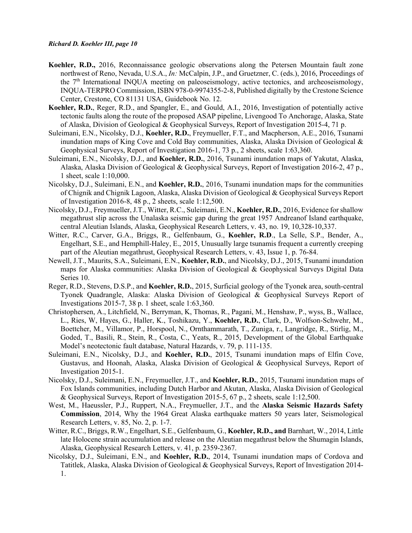- **Koehler, R.D.,** 2016, Reconnaissance geologic observations along the Petersen Mountain fault zone northwest of Reno, Nevada, U.S.A., *In:* McCalpin, J.P., and Gruetzner, C. (eds.), 2016, Proceedings of the  $7<sup>th</sup>$  International INQUA meeting on paleoseismology, active tectonics, and archeoseismology, INQUA-TERPRO Commission, ISBN 978-0-9974355-2-8, Published digitally by the Crestone Science Center, Crestone, CO 81131 USA, Guidebook No. 12.
- **Koehler, R.D.**, Reger, R.D., and Spangler, E., and Gould, A.I., 2016, Investigation of potentially active tectonic faults along the route of the proposed ASAP pipeline, Livengood To Anchorage, Alaska, State of Alaska, Division of Geological & Geophysical Surveys, Report of Investigation 2015-4, 71 p.
- Suleimani, E.N., Nicolsky, D.J., **Koehler, R.D.**, Freymueller, F.T., and Macpherson, A.E., 2016, Tsunami inundation maps of King Cove and Cold Bay communities, Alaska, Alaska Division of Geological & Geophysical Surveys, Report of Investigation 2016-1, 73 p., 2 sheets, scale 1:63,360.
- Suleimani, E.N., Nicolsky, D.J., and **Koehler, R.D.**, 2016, Tsunami inundation maps of Yakutat, Alaska, Alaska, Alaska Division of Geological & Geophysical Surveys, Report of Investigation 2016-2, 47 p., 1 sheet, scale 1:10,000.
- Nicolsky, D.J., Suleimani, E.N., and **Koehler, R.D.**, 2016, Tsunami inundation maps for the communities of Chignik and Chignik Lagoon, Alaska, Alaska Division of Geological & Geophysical Surveys Report of Investigation 2016-8, 48 p., 2 sheets, scale 1:12,500.
- Nicolsky, D.J., Freymueller, J.T., Witter, R.C., Suleimani, E.N., **Koehler, R.D.**, 2016, Evidence for shallow megathrust slip across the Unalaska seismic gap during the great 1957 Andreanof Island earthquake, central Aleutian Islands, Alaska, Geophysical Research Letters, v. 43, no. 19, 10,328-10,337.
- Witter, R.C., Carver, G.A., Briggs, R., Gelfenbaum, G., **Koehler, R.D**., La Selle, S.P., Bender, A., Engelhart, S.E., and Hemphill-Haley, E., 2015, Unusually large tsunamis frequent a currently creeping part of the Aleutian megathrust, Geophysical Research Letters, v. 43, Issue 1, p. 76-84.
- Newell, J.T., Maurits, S.A., Suleimani, E.N., **Koehler, R.D.**, and Nicolsky, D.J., 2015, Tsunami inundation maps for Alaska communities: Alaska Division of Geological & Geophysical Surveys Digital Data Series 10.
- Reger, R.D., Stevens, D.S.P., and **Koehler, R.D.**, 2015, Surficial geology of the Tyonek area, south-central Tyonek Quadrangle, Alaska: Alaska Division of Geological & Geophysical Surveys Report of Investigations 2015-7, 38 p. 1 sheet, scale 1:63,360.
- Christophersen, A., Litchfield, N., Berryman, K, Thomas, R., Pagani, M., Henshaw, P., wyss, B., Wallace, L., Ries, W, Hayes, G., Haller, K., Toshikazu, Y., **Koehler, R.D.**, Clark, D., Wolfson-Schwehr, M., Boettcher, M., Villamor, P., Horspool, N., Ornthammarath, T., Zuniga, r., Langridge, R., Stirlig, M., Goded, T., Basili, R., Stein, R., Costa, C., Yeats, R., 2015, Development of the Global Earthquake Model's neotectonic fault database, Natural Hazards, v. 79, p. 111-135.
- Suleimani, E.N., Nicolsky, D.J., and **Koehler, R.D.**, 2015, Tsunami inundation maps of Elfin Cove, Gustavus, and Hoonah, Alaska, Alaska Division of Geological & Geophysical Surveys, Report of Investigation 2015-1.
- Nicolsky, D.J., Suleimani, E.N., Freymueller, J.T., and **Koehler, R.D.**, 2015, Tsunami inundation maps of Fox Islands communities, including Dutch Harbor and Akutan, Alaska, Alaska Division of Geological & Geophysical Surveys, Report of Investigation 2015-5, 67 p., 2 sheets, scale 1:12,500.
- West, M., Haeussler, P.J., Ruppert, N.A., Freymueller, J.T., and the **Alaska Seismic Hazards Safety Commission**, 2014, Why the 1964 Great Alaska earthquake matters 50 years later, Seismological Research Letters, v. 85, No. 2, p. 1-7.
- Witter, R.C., Briggs, R.W., Engelhart, S.E., Gelfenbaum, G., **Koehler, R.D., and** Barnhart, W., 2014, Little late Holocene strain accumulation and release on the Aleutian megathrust below the Shumagin Islands, Alaska, Geophysical Research Letters, v. 41, p. 2359-2367.
- Nicolsky, D.J., Suleimani, E.N., and **Koehler, R.D.**, 2014, Tsunami inundation maps of Cordova and Tatitlek, Alaska, Alaska Division of Geological & Geophysical Surveys, Report of Investigation 2014- 1.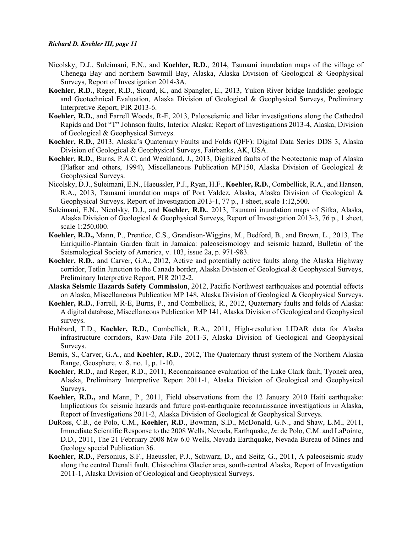- Nicolsky, D.J., Suleimani, E.N., and **Koehler, R.D.**, 2014, Tsunami inundation maps of the village of Chenega Bay and northern Sawmill Bay, Alaska, Alaska Division of Geological & Geophysical Surveys, Report of Investigation 2014-3A.
- **Koehler, R.D.**, Reger, R.D., Sicard, K., and Spangler, E., 2013, Yukon River bridge landslide: geologic and Geotechnical Evaluation, Alaska Division of Geological & Geophysical Surveys, Preliminary Interpretive Report, PIR 2013-6.
- **Koehler, R.D.**, and Farrell Woods, R-E, 2013, Paleoseismic and lidar investigations along the Cathedral Rapids and Dot "T" Johnson faults, Interior Alaska: Report of Investigations 2013-4, Alaska, Division of Geological & Geophysical Surveys.
- **Koehler, R.D.**, 2013, Alaska's Quaternary Faults and Folds (QFF): Digital Data Series DDS 3, Alaska Division of Geological & Geophysical Surveys, Fairbanks, AK, USA.
- **Koehler, R.D.**, Burns, P.A.C, and Weakland, J., 2013, Digitized faults of the Neotectonic map of Alaska (Plafker and others, 1994), Miscellaneous Publication MP150, Alaska Division of Geological & Geophysical Surveys.
- Nicolsky, D.J., Suleimani, E.N., Haeussler, P.J., Ryan, H.F., **Koehler, R.D.**, Combellick, R.A., and Hansen, R.A., 2013, Tsunami inundation maps of Port Valdez, Alaska, Alaska Division of Geological & Geophysical Surveys, Report of Investigation 2013-1, 77 p., 1 sheet, scale 1:12,500.
- Suleimani, E.N., Nicolsky, D.J., and **Koehler, R.D.**, 2013, Tsunami inundation maps of Sitka, Alaska, Alaska Division of Geological & Geophysical Surveys, Report of Investigation 2013-3, 76 p., 1 sheet, scale 1:250,000.
- **Koehler, R.D.,** Mann, P., Prentice, C.S., Grandison-Wiggins, M., Bedford, B., and Brown, L., 2013, The Enriquillo-Plantain Garden fault in Jamaica: paleoseismology and seismic hazard, Bulletin of the Seismological Society of America, v. 103, issue 2a, p. 971-983.
- **Koehler, R.D.**, and Carver, G.A., 2012, Active and potentially active faults along the Alaska Highway corridor, Tetlin Junction to the Canada border, Alaska Division of Geological & Geophysical Surveys, Preliminary Interpretive Report, PIR 2012-2.
- **Alaska Seismic Hazards Safety Commission**, 2012, Pacific Northwest earthquakes and potential effects on Alaska, Miscellaneous Publication MP 148, Alaska Division of Geological & Geophysical Surveys.
- **Koehler, R.D.**, Farrell, R-E, Burns, P., and Combellick, R., 2012, Quaternary faults and folds of Alaska: A digital database, Miscellaneous Publication MP 141, Alaska Division of Geological and Geophysical surveys.
- Hubbard, T.D., **Koehler, R.D.**, Combellick, R.A., 2011, High-resolution LIDAR data for Alaska infrastructure corridors, Raw-Data File 2011-3, Alaska Division of Geological and Geophysical Surveys.
- Bemis, S., Carver, G.A., and **Koehler, R.D.**, 2012, The Quaternary thrust system of the Northern Alaska Range, Geosphere, v. 8, no. 1, p. 1-10.
- **Koehler, R.D.**, and Reger, R.D., 2011, Reconnaissance evaluation of the Lake Clark fault, Tyonek area, Alaska, Preliminary Interpretive Report 2011-1, Alaska Division of Geological and Geophysical Surveys.
- **Koehler, R.D.,** and Mann, P., 2011, Field observations from the 12 January 2010 Haiti earthquake: Implications for seismic hazards and future post-earthquake reconnaissance investigations in Alaska, Report of Investigations 2011-2, Alaska Division of Geological & Geophysical Surveys.
- DuRoss, C.B., de Polo, C.M., **Koehler, R.D**., Bowman, S.D., McDonald, G.N., and Shaw, L.M., 2011, Immediate Scientific Response to the 2008 Wells, Nevada, Earthquake, *In*: de Polo, C.M. and LaPointe, D.D., 2011, The 21 February 2008 Mw 6.0 Wells, Nevada Earthquake, Nevada Bureau of Mines and Geology special Publication 36.
- **Koehler, R.D.**, Personius, S.F., Haeussler, P.J., Schwarz, D., and Seitz, G., 2011, A paleoseismic study along the central Denali fault, Chistochina Glacier area, south-central Alaska, Report of Investigation 2011-1, Alaska Division of Geological and Geophysical Surveys.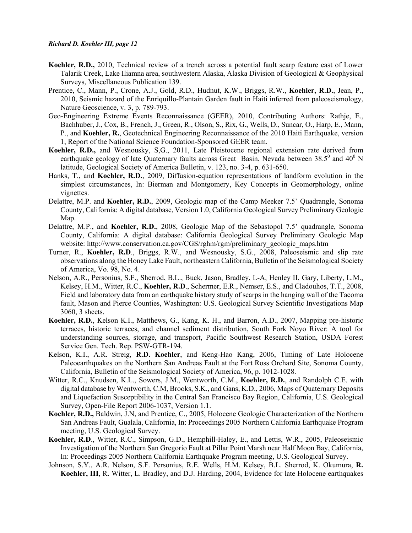- **Koehler, R.D.,** 2010, Technical review of a trench across a potential fault scarp feature east of Lower Talarik Creek, Lake Iliamna area, southwestern Alaska, Alaska Division of Geological & Geophysical Surveys, Miscellaneous Publication 139.
- Prentice, C., Mann, P., Crone, A.J., Gold, R.D., Hudnut, K.W., Briggs, R.W., **Koehler, R.D.**, Jean, P., 2010, Seismic hazard of the Enriquillo-Plantain Garden fault in Haiti inferred from paleoseismology, Nature Geoscience, v. 3, p. 789-793.
- Geo-Engineering Extreme Events Reconnaissance (GEER), 2010, Contributing Authors: Rathje, E., Bachhuber, J., Cox, B., French, J., Green, R., Olson, S., Rix, G., Wells, D., Suncar, O., Harp, E., Mann, P., and **Koehler, R.**, Geotechnical Engineering Reconnaissance of the 2010 Haiti Earthquake, version 1, Report of the National Science Foundation-Sponsored GEER team.
- **Koehler, R.D.,** and Wesnousky, S,G., 2011, Late Pleistocene regional extension rate derived from earthquake geology of late Quaternary faults across Great Basin, Nevada between 38.5<sup>0</sup> and 40<sup>0</sup> N latitude, Geological Society of America Bulletin, v. 123, no. 3-4, p. 631-650.
- Hanks, T., and **Koehler, R.D.**, 2009, Diffusion-equation representations of landform evolution in the simplest circumstances, In: Bierman and Montgomery, Key Concepts in Geomorphology, online vignettes.
- Delattre, M.P. and **Koehler, R.D.**, 2009, Geologic map of the Camp Meeker 7.5' Quadrangle, Sonoma County, California: A digital database, Version 1.0, California Geological Survey Preliminary Geologic Map.
- Delattre, M.P., and **Koehler, R.D.**, 2008, Geologic Map of the Sebastopol 7.5' quadrangle, Sonoma County, California: A digital database: California Geological Survey Preliminary Geologic Map website: http://www.conservation.ca.gov/CGS/rghm/rgm/preliminary\_geologic\_maps.htm
- Turner, R., **Koehler, R.D**., Briggs, R.W., and Wesnousky, S.G., 2008, Paleoseismic and slip rate observations along the Honey Lake Fault, northeastern California, Bulletin of the Seismological Society of America, Vo. 98, No. 4.
- Nelson, A.R., Personius, S.F., Sherrod, B.L., Buck, Jason, Bradley, L-A, Henley II, Gary, Liberty, L.M., Kelsey, H.M., Witter, R.C., **Koehler, R.D**., Schermer, E.R., Nemser, E.S., and Cladouhos, T.T., 2008, Field and laboratory data from an earthquake history study of scarps in the hanging wall of the Tacoma fault, Mason and Pierce Counties, Washington: U.S. Geological Survey Scientific Investigations Map 3060, 3 sheets.
- **Koehler, R.D.**, Kelson K.I., Matthews, G., Kang, K. H., and Barron, A.D., 2007, Mapping pre-historic terraces, historic terraces, and channel sediment distribution, South Fork Noyo River: A tool for understanding sources, storage, and transport, Pacific Southwest Research Station, USDA Forest Service Gen. Tech. Rep. PSW-GTR-194.
- Kelson, K.I., A.R. Streig, **R.D. Koehler**, and Keng-Hao Kang, 2006, Timing of Late Holocene Paleoearthquakes on the Northern San Andreas Fault at the Fort Ross Orchard Site, Sonoma County, California, Bulletin of the Seismological Society of America, 96, p. 1012-1028.
- Witter, R.C., Knudsen, K.L., Sowers, J.M., Wentworth, C.M., **Koehler, R.D.**, and Randolph C.E. with digital database by Wentworth, C.M, Brooks, S.K., and Gans, K.D., 2006, Maps of Quaternary Deposits and Liquefaction Susceptibility in the Central San Francisco Bay Region, California, U.S. Geological Survey, Open-File Report 2006-1037, Version 1.1.
- **Koehler, R.D.,** Baldwin, J.N, and Prentice, C., 2005, Holocene Geologic Characterization of the Northern San Andreas Fault, Gualala, California, In: Proceedings 2005 Northern California Earthquake Program meeting, U.S. Geological Survey.
- **Koehler, R.D**., Witter, R.C., Simpson, G.D., Hemphill-Haley, E., and Lettis, W.R., 2005, Paleoseismic Investigation of the Northern San Gregorio Fault at Pillar Point Marsh near Half Moon Bay, California, In: Proceedings 2005 Northern California Earthquake Program meeting, U.S. Geological Survey.
- Johnson, S.Y., A.R. Nelson, S.F. Personius, R.E. Wells, H.M. Kelsey, B.L. Sherrod, K. Okumura, **R. Koehler, III**, R. Witter, L. Bradley, and D.J. Harding, 2004, Evidence for late Holocene earthquakes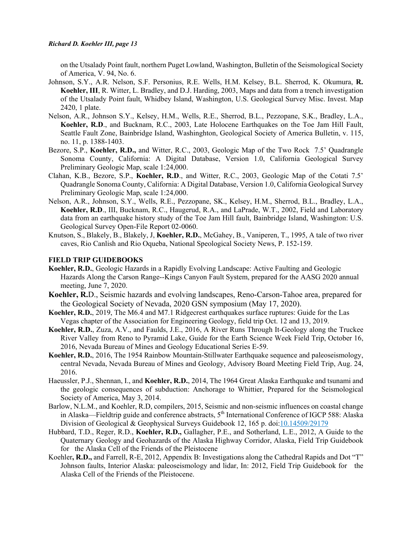on the Utsalady Point fault, northern Puget Lowland, Washington, Bulletin of the Seismological Society of America, V. 94, No. 6.

- Johnson, S.Y., A.R. Nelson, S.F. Personius, R.E. Wells, H.M. Kelsey, B.L. Sherrod, K. Okumura, **R. Koehler, III**, R. Witter, L. Bradley, and D.J. Harding, 2003, Maps and data from a trench investigation of the Utsalady Point fault, Whidbey Island, Washington, U.S. Geological Survey Misc. Invest. Map 2420, 1 plate.
- Nelson, A.R., Johnson S.Y., Kelsey, H.M., Wells, R.E., Sherrod, B.L., Pezzopane, S.K., Bradley, L.A., **Koehler, R.D**., and Bucknam, R.C., 2003, Late Holocene Earthquakes on the Toe Jam Hill Fault, Seattle Fault Zone, Bainbridge Island, Washinghton, Geological Society of America Bulletin, v. 115, no. 11, p. 1388-1403.
- Bezore, S.P., **Koehler, R.D.,** and Witter, R.C., 2003, Geologic Map of the Two Rock 7.5' Quadrangle Sonoma County, California: A Digital Database, Version 1.0, California Geological Survey Preliminary Geologic Map, scale 1:24,000.
- Clahan, K.B., Bezore, S.P., **Koehler, R.D**., and Witter, R.C., 2003, Geologic Map of the Cotati 7.5' Quadrangle Sonoma County, California: A Digital Database, Version 1.0, California Geological Survey Preliminary Geologic Map, scale 1:24,000.
- Nelson, A.R., Johnson, S.Y., Wells, R.E., Pezzopane, SK., Kelsey, H.M., Sherrod, B.L., Bradley, L.A., **Koehler, R.D**., III, Bucknam, R.C., Haugerud, R.A., and LaPrade, W.T., 2002, Field and Laboratory data from an earthquake history study of the Toe Jam Hill fault, Bainbridge Island, Washington: U.S. Geological Survey Open-File Report 02-0060.
- Knutson, S., Blakely, B., Blakely, J, **Koehler, R.D.**, McGahey, B., Vaniperen, T., 1995, A tale of two river caves, Rio Canlish and Rio Oqueba, National Speological Society News, P. 152-159.

### **FIELD TRIP GUIDEBOOKS**

- **Koehler, R.D.**, Geologic Hazards in a Rapidly Evolving Landscape: Active Faulting and Geologic Hazards Along the Carson Range--Kings Canyon Fault System, prepared for the AASG 2020 annual meeting, June 7, 2020.
- **Koehler, R.**D., Seismic hazards and evolving landscapes, Reno-Carson-Tahoe area, prepared for the Geological Society of Nevada, 2020 GSN symposium (May 17, 2020).
- **Koehler, R.D.**, 2019, The M6.4 and M7.1 Ridgecrest earthquakes surface ruptures: Guide for the Las Vegas chapter of the Association for Engineering Geology, field trip Oct. 12 and 13, 2019.
- **Koehler, R.D.**, Zuza, A.V., and Faulds, J.E., 2016, A River Runs Through It-Geology along the Truckee River Valley from Reno to Pyramid Lake, Guide for the Earth Science Week Field Trip, October 16, 2016, Nevada Bureau of Mines and Geology Educational Series E-59.
- **Koehler, R.D.**, 2016, The 1954 Rainbow Mountain-Stillwater Earthquake sequence and paleoseismology, central Nevada, Nevada Bureau of Mines and Geology, Advisory Board Meeting Field Trip, Aug. 24, 2016.
- Haeussler, P.J., Shennan, I., and **Koehler, R.D.**, 2014, The 1964 Great Alaska Earthquake and tsunami and the geologic consequences of subduction: Anchorage to Whittier, Prepared for the Seismological Society of America, May 3, 2014.
- Barlow, N.L.M., and Koehler, R.D, compilers, 2015, Seismic and non-seismic influences on coastal change in Alaska—Fieldtrip guide and conference abstracts, 5<sup>th</sup> International Conference of IGCP 588: Alaska Division of Geological & Geophysical Surveys Guidebook 12, 165 p. doi[:10.14509/29179](http://dx.doi.org/10.14509/29179)
- Hubbard, T.D., Reger, R.D., **Koehler, R.D.,** Gallagher, P.E., and Sotherland, L.E., 2012, A Guide to the Quaternary Geology and Geohazards of the Alaska Highway Corridor, Alaska, Field Trip Guidebook for the Alaska Cell of the Friends of the Pleistocene
- Koehler**, R.D.,** and Farrell, R-E, 2012, Appendix B: Investigations along the Cathedral Rapids and Dot "T" Johnson faults, Interior Alaska: paleoseismology and lidar, In: 2012, Field Trip Guidebook for the Alaska Cell of the Friends of the Pleistocene.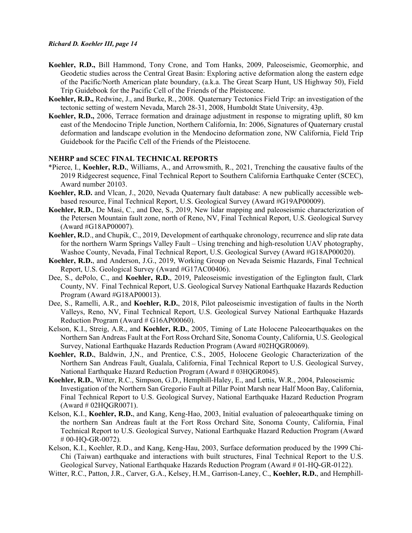- **Koehler, R.D.,** Bill Hammond, Tony Crone, and Tom Hanks, 2009, Paleoseismic, Geomorphic, and Geodetic studies across the Central Great Basin: Exploring active deformation along the eastern edge of the Pacific/North American plate boundary, (a.k.a. The Great Scarp Hunt, US Highway 50), Field Trip Guidebook for the Pacific Cell of the Friends of the Pleistocene.
- **Koehler, R.D.,** Redwine, J., and Burke, R., 2008. Quaternary Tectonics Field Trip: an investigation of the tectonic setting of western Nevada, March 28-31, 2008, Humboldt State University, 43p.
- **Koehler, R.D.,** 2006, Terrace formation and drainage adjustment in response to migrating uplift, 80 km east of the Mendocino Triple Junction, Northern California, In: 2006, Signatures of Quaternary crustal deformation and landscape evolution in the Mendocino deformation zone, NW California, Field Trip Guidebook for the Pacific Cell of the Friends of the Pleistocene.

#### **NEHRP and SCEC FINAL TECHNICAL REPORTS**

- \*Pierce, I., **Koehler, R.D.**, Williams, A., and Arrowsmith, R., 2021, Trenching the causative faults of the 2019 Ridgecrest sequence, Final Technical Report to Southern California Earthquake Center (SCEC), Award number 20103.
- **Koehler, R.D.** and Vlcan, J., 2020, Nevada Quaternary fault database: A new publically accessible webbased resource, Final Technical Report, U.S. Geological Survey (Award #G19AP00009).
- **Koehler, R.D.**, De Masi, C., and Dee, S., 2019, New lidar mapping and paleoseismic characterization of the Petersen Mountain fault zone, north of Reno, NV, Final Technical Report, U.S. Geological Survey (Award #G18AP00007).
- **Koehler, R.**D., and Chupik, C., 2019, Development of earthquake chronology, recurrence and slip rate data for the northern Warm Springs Valley Fault – Using trenching and high-resolution UAV photography, Washoe County, Nevada, Final Technical Report, U.S. Geological Survey (Award #G18AP00020).
- **Koehler, R.D.**, and Anderson, J.G., 2019, Working Group on Nevada Seismic Hazards, Final Technical Report, U.S. Geological Survey (Award #G17AC00406).
- Dee, S., dePolo, C., and **Koehler, R.D.**, 2019, Paleoseismic investigation of the Eglington fault, Clark County, NV. Final Technical Report, U.S. Geological Survey National Earthquake Hazards Reduction Program (Award #G18AP00013).
- Dee, S., Ramelli, A.R., and **Koehler, R.D.**, 2018, Pilot paleoseismic investigation of faults in the North Valleys, Reno, NV, Final Technical Report, U.S. Geological Survey National Earthquake Hazards Reduction Program (Award # G16AP00060).
- Kelson, K.I., Streig, A.R., and **Koehler, R.D.**, 2005, Timing of Late Holocene Paleoearthquakes on the Northern San Andreas Fault at the Fort Ross Orchard Site, Sonoma County, California, U.S. Geological Survey, National Earthquake Hazards Reduction Program (Award #02HQGR0069).
- **Koehler, R.D.**, Baldwin, J,N., and Prentice, C.S., 2005, Holocene Geologic Characterization of the Northern San Andreas Fault, Gualala, California, Final Technical Report to U.S. Geological Survey, National Earthquake Hazard Reduction Program (Award # 03HQGR0045).
- **Koehler, R.D.**, Witter, R.C., Simpson, G.D., Hemphill-Haley, E., and Lettis, W.R., 2004, Paleoseismic Investigation of the Northern San Gregorio Fault at Pillar Point Marsh near Half Moon Bay, California, Final Technical Report to U.S. Geological Survey, National Earthquake Hazard Reduction Program (Award # 02HQGR0071).
- Kelson, K.I., **Koehler, R.D.**, and Kang, Keng-Hao, 2003, Initial evaluation of paleoearthquake timing on the northern San Andreas fault at the Fort Ross Orchard Site, Sonoma County, California, Final Technical Report to U.S. Geological Survey, National Earthquake Hazard Reduction Program (Award # 00-HQ-GR-0072).
- Kelson, K.I., Koehler, R.D., and Kang, Keng-Hau, 2003, Surface deformation produced by the 1999 Chi-Chi (Taiwan) earthquake and interactions with built structures, Final Technical Report to the U.S. Geological Survey, National Earthquake Hazards Reduction Program (Award # 01-HQ-GR-0122).
- Witter, R.C., Patton, J.R., Carver, G.A., Kelsey, H.M., Garrison-Laney, C., **Koehler, R.D.**, and Hemphill-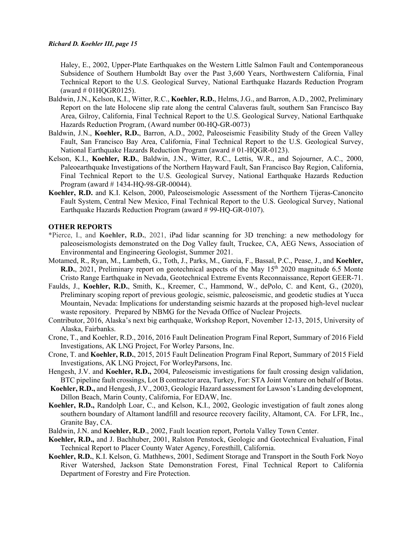Haley, E., 2002, Upper-Plate Earthquakes on the Western Little Salmon Fault and Contemporaneous Subsidence of Southern Humboldt Bay over the Past 3,600 Years, Northwestern California, Final Technical Report to the U.S. Geological Survey, National Earthquake Hazards Reduction Program (award  $\#$  01HQGR0125).

- Baldwin, J.N., Kelson, K.I., Witter, R.C., **Koehler, R.D.**, Helms, J.G., and Barron, A.D., 2002, Preliminary Report on the late Holocene slip rate along the central Calaveras fault, southern San Francisco Bay Area, Gilroy, California, Final Technical Report to the U.S. Geological Survey, National Earthquake Hazards Reduction Program, (Award number 00-HQ-GR-0073)
- Baldwin, J.N., **Koehler, R.D.**, Barron, A.D., 2002, Paleoseismic Feasibility Study of the Green Valley Fault, San Francisco Bay Area, California, Final Technical Report to the U.S. Geological Survey, National Earthquake Hazards Reduction Program (award # 01-HQGR-0123).
- Kelson, K.I., **Koehler, R.D.**, Baldwin, J.N., Witter, R.C., Lettis, W.R., and Sojourner, A.C., 2000, Paleoearthquake Investigations of the Northern Hayward Fault, San Francisco Bay Region, California, Final Technical Report to the U.S. Geological Survey, National Earthquake Hazards Reduction Program (award # 1434-HQ-98-GR-00044).
- **Koehler, R.D.** and K.I. Kelson, 2000, Paleoseismologic Assessment of the Northern Tijeras-Canoncito Fault System, Central New Mexico, Final Technical Report to the U.S. Geological Survey, National Earthquake Hazards Reduction Program (award # 99-HQ-GR-0107).

### **OTHER REPORTS**

- \*Pierce, I., and **Koehler, R.D.**, 2021, iPad lidar scanning for 3D trenching: a new methodology for paleoseismologists demonstrated on the Dog Valley fault, Truckee, CA, AEG News, Association of Environmental and Engineering Geologist, Summer 2021.
- Motamed, R., Ryan, M., Lambeth, G., Toth, J., Parks, M., Garcia, F., Bassal, P.C., Pease, J., and **Koehler, R.D.**, 2021, Preliminary report on geotechnical aspects of the May 15<sup>th</sup> 2020 magnitude 6.5 Monte Cristo Range Earthquake in Nevada, Geotechnical Extreme Events Reconnaissance, Report GEER-71.
- Faulds, J., **Koehler, R.D.**, Smith, K., Kreemer, C., Hammond, W., dePolo, C. and Kent, G., (2020), Preliminary scoping report of previous geologic, seismic, paleoseismic, and geodetic studies at Yucca Mountain, Nevada: Implications for understanding seismic hazards at the proposed high-level nuclear waste repository. Prepared by NBMG for the Nevada Office of Nuclear Projects.
- Contributor, 2016, Alaska's next big earthquake, Workshop Report, November 12-13, 2015, University of Alaska, Fairbanks.
- Crone, T., and Koehler, R.D., 2016, 2016 Fault Delineation Program Final Report, Summary of 2016 Field Investigations, AK LNG Project, For Worley Parsons, Inc.
- Crone, T. and **Koehler, R.D.**, 2015, 2015 Fault Delineation Program Final Report, Summary of 2015 Field Investigations, AK LNG Project, For WorleyParsons, Inc.
- Hengesh, J.V. and **Koehler, R.D.,** 2004, Paleoseismic investigations for fault crossing design validation, BTC pipeline fault crossings, Lot B contractor area, Turkey, For: STA Joint Venture on behalf of Botas.
- **Koehler, R.D.,** and Hengesh, J.V., 2003, Geologic Hazard assessment for Lawson's Landing development, Dillon Beach, Marin County, California, For EDAW, Inc.
- **Koehler, R.D.,** Randolph Loar, C., and Kelson, K.I., 2002, Geologic investigation of fault zones along southern boundary of Altamont landfill and resource recovery facility, Altamont, CA. For LFR, Inc., Granite Bay, CA.
- Baldwin, J.N. and **Koehler, R.D**., 2002, Fault location report, Portola Valley Town Center.
- **Koehler, R.D.,** and J. Bachhuber, 2001, Ralston Penstock, Geologic and Geotechnical Evaluation, Final Technical Report to Placer County Water Agency, Foresthill, California.
- **Koehler, R.D.**, K.I. Kelson, G. Mathhews, 2001, Sediment Storage and Transport in the South Fork Noyo River Watershed, Jackson State Demonstration Forest, Final Technical Report to California Department of Forestry and Fire Protection.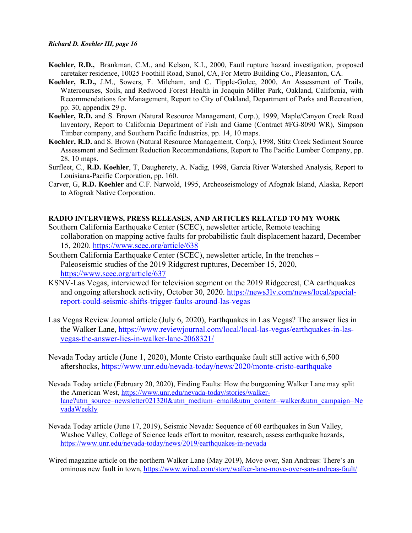- **Koehler, R.D.,** Brankman, C.M., and Kelson, K.I., 2000, Fautl rupture hazard investigation, proposed caretaker residence, 10025 Foothill Road, Sunol, CA, For Metro Building Co., Pleasanton, CA.
- **Koehler, R.D.,** J.M., Sowers, F. Mileham, and C. Tipple-Golec, 2000, An Assessment of Trails, Watercourses, Soils, and Redwood Forest Health in Joaquin Miller Park, Oakland, California, with Recommendations for Management, Report to City of Oakland, Department of Parks and Recreation, pp. 30, appendix 29 p.
- **Koehler, R.D.** and S. Brown (Natural Resource Management, Corp.), 1999, Maple/Canyon Creek Road Inventory, Report to California Department of Fish and Game (Contract #FG-8090 WR), Simpson Timber company, and Southern Pacific Industries, pp. 14, 10 maps.
- **Koehler, R.D.** and S. Brown (Natural Resource Management, Corp.), 1998, Stitz Creek Sediment Source Assessment and Sediment Reduction Recommendations, Report to The Pacific Lumber Company, pp. 28, 10 maps.
- Surfleet, C., **R.D. Koehler**, T, Daugherety, A. Nadig, 1998, Garcia River Watershed Analysis, Report to Louisiana-Pacific Corporation, pp. 160.
- Carver, G, **R.D. Koehler** and C.F. Narwold, 1995, Archeoseismology of Afognak Island, Alaska, Report to Afognak Native Corporation.

### **RADIO INTERVIEWS, PRESS RELEASES, AND ARTICLES RELATED TO MY WORK**

- Southern California Earthquake Center (SCEC), newsletter article, Remote teaching collaboration on mapping active faults for probabilistic fault displacement hazard, December 15, 2020.<https://www.scec.org/article/638>
- Southern California Earthquake Center (SCEC), newsletter article, In the trenches Paleoseismic studies of the 2019 Ridgcrest ruptures, December 15, 2020, <https://www.scec.org/article/637>
- KSNV-Las Vegas, interviewed for television segment on the 2019 Ridgecrest, CA earthquakes and ongoing aftershock activity, October 30, 2020. [https://news3lv.com/news/local/special](https://news3lv.com/news/local/special-report-could-seismic-shifts-trigger-faults-around-las-vegas)[report-could-seismic-shifts-trigger-faults-around-las-vegas](https://news3lv.com/news/local/special-report-could-seismic-shifts-trigger-faults-around-las-vegas)
- Las Vegas Review Journal article (July 6, 2020), Earthquakes in Las Vegas? The answer lies in the Walker Lane, [https://www.reviewjournal.com/local/local-las-vegas/earthquakes-in-las](https://nam04.safelinks.protection.outlook.com/?url=https%3A%2F%2Fwww.reviewjournal.com%2Flocal%2Flocal-las-vegas%2Fearthquakes-in-las-vegas-the-answer-lies-in-walker-lane-2068321%2F&data=01%7C01%7Crkoehler%40unr.edu%7C915f9a28ee634e9297e208d821cae1df%7C523b4bfc0ebd4c03b2b96f6a17fd31d8%7C1&sdata=ZZ3EXaVYAiCkXeExyCf6wSW9iP7jO1sm94dAy1jJqao%3D&reserved=0)[vegas-the-answer-lies-in-walker-lane-2068321/](https://nam04.safelinks.protection.outlook.com/?url=https%3A%2F%2Fwww.reviewjournal.com%2Flocal%2Flocal-las-vegas%2Fearthquakes-in-las-vegas-the-answer-lies-in-walker-lane-2068321%2F&data=01%7C01%7Crkoehler%40unr.edu%7C915f9a28ee634e9297e208d821cae1df%7C523b4bfc0ebd4c03b2b96f6a17fd31d8%7C1&sdata=ZZ3EXaVYAiCkXeExyCf6wSW9iP7jO1sm94dAy1jJqao%3D&reserved=0)
- Nevada Today article (June 1, 2020), Monte Cristo earthquake fault still active with 6,500 aftershocks,<https://www.unr.edu/nevada-today/news/2020/monte-cristo-earthquake>
- Nevada Today article (February 20, 2020), Finding Faults: How the burgeoning Walker Lane may split the American West, [https://www.unr.edu/nevada-today/stories/walker](https://www.unr.edu/nevada-today/stories/walker-lane?utm_source=newsletter021320&utm_medium=email&utm_content=walker&utm_campaign=NevadaWeekly)[lane?utm\\_source=newsletter021320&utm\\_medium=email&utm\\_content=walker&utm\\_campaign=Ne](https://www.unr.edu/nevada-today/stories/walker-lane?utm_source=newsletter021320&utm_medium=email&utm_content=walker&utm_campaign=NevadaWeekly) [vadaWeekly](https://www.unr.edu/nevada-today/stories/walker-lane?utm_source=newsletter021320&utm_medium=email&utm_content=walker&utm_campaign=NevadaWeekly)
- Nevada Today article (June 17, 2019), Seismic Nevada: Sequence of 60 earthquakes in Sun Valley, Washoe Valley, College of Science leads effort to monitor, research, assess earthquake hazards, <https://www.unr.edu/nevada-today/news/2019/earthquakes-in-nevada>
- Wired magazine article on the northern Walker Lane (May 2019), Move over, San Andreas: There's an ominous new fault in town,<https://www.wired.com/story/walker-lane-move-over-san-andreas-fault/>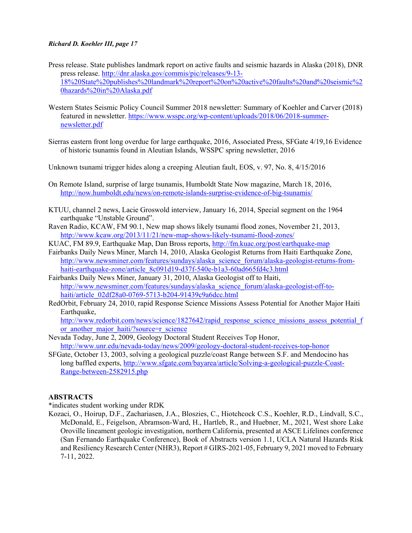- Press release. State publishes landmark report on active faults and seismic hazards in Alaska (2018), DNR press release. [http://dnr.alaska.gov/commis/pic/releases/9-13-](http://dnr.alaska.gov/commis/pic/releases/9-13-18%20State%20publishes%20landmark%20report%20on%20active%20faults%20and%20seismic%20hazards%20in%20Alaska.pdf) [18%20State%20publishes%20landmark%20report%20on%20active%20faults%20and%20seismic%2](http://dnr.alaska.gov/commis/pic/releases/9-13-18%20State%20publishes%20landmark%20report%20on%20active%20faults%20and%20seismic%20hazards%20in%20Alaska.pdf) [0hazards%20in%20Alaska.pdf](http://dnr.alaska.gov/commis/pic/releases/9-13-18%20State%20publishes%20landmark%20report%20on%20active%20faults%20and%20seismic%20hazards%20in%20Alaska.pdf)
- Western States Seismic Policy Council Summer 2018 newsletter: Summary of Koehler and Carver (2018) featured in newsletter. [https://www.wsspc.org/wp-content/uploads/2018/06/2018-summer](https://www.wsspc.org/wp-content/uploads/2018/06/2018-summer-newsletter.pdf)[newsletter.pdf](https://www.wsspc.org/wp-content/uploads/2018/06/2018-summer-newsletter.pdf)
- Sierras eastern front long overdue for large earthquake, 2016, Associated Press, SFGate 4/19,16 Evidence of historic tsunamis found in Aleutian Islands, WSSPC spring newsletter, 2016
- Unknown tsunami trigger hides along a creeping Aleutian fault, EOS, v. 97, No. 8, 4/15/2016
- On Remote Island, surprise of large tsunamis, Humboldt State Now magazine, March 18, 2016, <http://now.humboldt.edu/news/on-remote-islands-surprise-evidence-of-big-tsunamis/>
- KTUU, channel 2 news, Lacie Groswold interview, January 16, 2014, Special segment on the 1964 earthquake "Unstable Ground".
- Raven Radio, KCAW, FM 90.1, New map shows likely tsunami flood zones, November 21, 2013, <http://www.kcaw.org/2013/11/21/new-map-shows-likely-tsunami-flood-zones/>
- KUAC, FM 89.9, Earthquake Map, Dan Bross reports,<http://fm.kuac.org/post/earthquake-map>
- Fairbanks Daily News Miner, March 14, 2010, Alaska Geologist Returns from Haiti Earthquake Zone, [http://www.newsminer.com/features/sundays/alaska\\_science\\_forum/alaska-geologist-returns-from](http://www.newsminer.com/features/sundays/alaska_science_forum/alaska-geologist-returns-from-haiti-earthquake-zone/article_8c091d19-d37f-540e-b1a3-60ad665fd4c3.html)[haiti-earthquake-zone/article\\_8c091d19-d37f-540e-b1a3-60ad665fd4c3.html](http://www.newsminer.com/features/sundays/alaska_science_forum/alaska-geologist-returns-from-haiti-earthquake-zone/article_8c091d19-d37f-540e-b1a3-60ad665fd4c3.html)
- Fairbanks Daily News Miner, January 31, 2010, Alaska Geologist off to Haiti, [http://www.newsminer.com/features/sundays/alaska\\_science\\_forum/alaska-geologist-off-to](http://www.newsminer.com/features/sundays/alaska_science_forum/alaska-geologist-off-to-haiti/article_02df28a0-0769-5713-b204-91439c9a6dcc.html)[haiti/article\\_02df28a0-0769-5713-b204-91439c9a6dcc.html](http://www.newsminer.com/features/sundays/alaska_science_forum/alaska-geologist-off-to-haiti/article_02df28a0-0769-5713-b204-91439c9a6dcc.html)
- RedOrbit, February 24, 2010, rapid Response Science Missions Assess Potential for Another Major Haiti Earthquake,

[http://www.redorbit.com/news/science/1827642/rapid\\_response\\_science\\_missions\\_assess\\_potential\\_f](http://www.redorbit.com/news/science/1827642/rapid_response_science_missions_assess_potential_for_another_major_haiti/?source=r_science) or another major haiti/?source=r\_science

- Nevada Today, June 2, 2009, Geology Doctoral Student Receives Top Honor, <http://www.unr.edu/nevada-today/news/2009/geology-doctoral-student-receives-top-honor>
- SFGate, October 13, 2003, solving a geological puzzle/coast Range between S.F. and Mendocino has long baffled experts, [http://www.sfgate.com/bayarea/article/Solving-a-geological-puzzle-Coast-](http://www.sfgate.com/bayarea/article/Solving-a-geological-puzzle-Coast-Range-between-2582915.php)[Range-between-2582915.php](http://www.sfgate.com/bayarea/article/Solving-a-geological-puzzle-Coast-Range-between-2582915.php)

#### **ABSTRACTS**

\*indicates student working under RDK

Kozaci, O., Hoirup, D.F., Zachariasen, J.A., Bloszies, C., Hiotchcock C.S., Koehler, R.D., Lindvall, S.C., McDonald, E., Feigelson, Abramson-Ward, H., Hartleb, R., and Huebner, M., 2021, West shore Lake Oroville lineament geologic investigation, northern California, presented at ASCE Lifelines conference (San Fernando Earthquake Conference), Book of Abstracts version 1.1, UCLA Natural Hazards Risk and Resiliency Research Center (NHR3), Report # GIRS-2021-05, February 9, 2021 moved to February 7-11, 2022.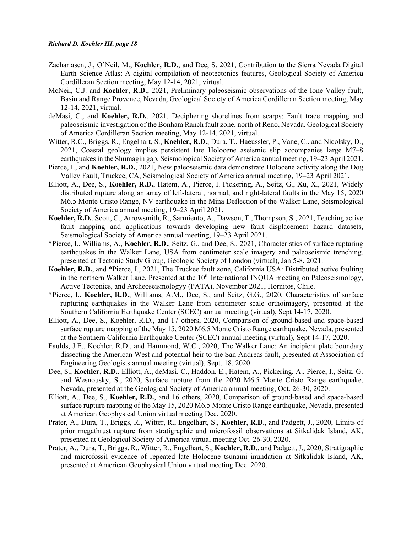- Zachariasen, J., O'Neil, M., **Koehler, R.D.**, and Dee, S. 2021, Contribution to the Sierra Nevada Digital Earth Science Atlas: A digital compilation of neotectonics features, Geological Society of America Cordilleran Section meeting, May 12-14, 2021, virtual.
- McNeil, C.J. and **Koehler, R.D.**, 2021, Preliminary paleoseismic observations of the Ione Valley fault, Basin and Range Provence, Nevada, Geological Society of America Cordilleran Section meeting, May 12-14, 2021, virtual.
- deMasi, C., and **Koehler, R.D.**, 2021, Deciphering shorelines from scarps: Fault trace mapping and paleoseismic investigation of the Bonham Ranch fault zone, north of Reno, Nevada, Geological Society of America Cordilleran Section meeting, May 12-14, 2021, virtual.
- Witter, R.C., Briggs, R., Engelhart, S., **Koehler, R.D.**, Dura, T., Haeussler, P., Vane, C., and Nicolsky, D., 2021, Coastal geology implies persistent late Holocene aseismic slip accompanies large M7–8 earthquakes in the Shumagin gap, Seismological Society of America annual meeting, 19–23 April 2021.
- Pierce, I., and **Koehler, R.D.**, 2021, New paleoseismic data demonstrate Holocene activity along the Dog Valley Fault, Truckee, CA, Seismological Society of America annual meeting, 19–23 April 2021.
- Elliott, A., Dee, S., **Koehler, R.D.**, Hatem, A., Pierce, I. Pickering, A., Seitz, G., Xu, X., 2021, Widely distributed rupture along an array of left-lateral, normal, and right-lateral faults in the May 15, 2020 M6.5 Monte Cristo Range, NV earthquake in the Mina Deflection of the Walker Lane, Seismological Society of America annual meeting, 19–23 April 2021.
- **Koehler, R.D.**, Scott, C., Arrowsmith, R., Sarmiento, A., Dawson, T., Thompson, S., 2021, Teaching active fault mapping and applications towards developing new fault displacement hazard datasets, Seismological Society of America annual meeting, 19–23 April 2021.
- \*Pierce, I., Williams, A., **Koehler, R.D.**, Seitz, G., and Dee, S., 2021, Characteristics of surface rupturing earthquakes in the Walker Lane, USA from centimeter scale imagery and paleoseismic trenching, presented at Tectonic Study Group, Geologic Society of London (virtual), Jan 5-8, 2021.
- **Koehler, R.D.**, and \*Pierce, I., 2021, The Truckee fault zone, California USA: Distributed active faulting in the northern Walker Lane, Presented at the 10<sup>th</sup> International INQUA meeting on Paleoseismology, Active Tectonics, and Archeoseismologyy (PATA), November 2021, Hornitos, Chile.
- \*Pierce, I., **Koehler, R.D.**, Williams, A.M., Dee, S., and Seitz, G.G., 2020, Characteristics of surface rupturing earthquakes in the Walker Lane from centimeter scale orthoimagery, presented at the Southern California Earthquake Center (SCEC) annual meeting (virtual), Sept 14-17, 2020.
- Elliott, A., Dee, S., Koehler, R.D., and 17 others, 2020, Comparison of ground-based and space-based surface rupture mapping of the May 15, 2020 M6.5 Monte Cristo Range earthquake, Nevada, presented at the Southern California Earthquake Center (SCEC) annual meeting (virtual), Sept 14-17, 2020.
- Faulds, J.E., Koehler, R.D., and Hammond, W.C., 2020, The Walker Lane: An incipient plate boundary dissecting the American West and potential heir to the San Andreas fault, presented at Association of Engineering Geologists annual meeting (virtual), Sept. 18, 2020.
- Dee, S., **Koehler, R.D.**, Elliott, A., deMasi, C., Haddon, E., Hatem, A., Pickering, A., Pierce, I., Seitz, G. and Wesnousky, S., 2020, Surface rupture from the 2020 M6.5 Monte Cristo Range earthquake, Nevada, presented at the Geological Society of America annual meeting, Oct. 26-30, 2020.
- Elliott, A., Dee, S., **Koehler, R.D.**, and 16 others, 2020, Comparison of ground-based and space-based surface rupture mapping of the May 15, 2020 M6.5 Monte Cristo Range earthquake, Nevada, presented at American Geophysical Union virtual meeting Dec. 2020.
- Prater, A., Dura, T., Briggs, R., Witter, R., Engelhart, S., **Koehler, R.D.**, and Padgett, J., 2020, Limits of prior megathrust rupture from stratigraphic and microfossil observations at Sitkalidak Island, AK, presented at Geological Society of America virtual meeting Oct. 26-30, 2020.
- Prater, A., Dura, T., Briggs, R., Witter, R., Engelhart, S., **Koehler, R.D.**, and Padgett, J., 2020, Stratigraphic and microfossil evidence of repeated late Holocene tsunami inundation at Sitkalidak Island, AK, presented at American Geophysical Union virtual meeting Dec. 2020.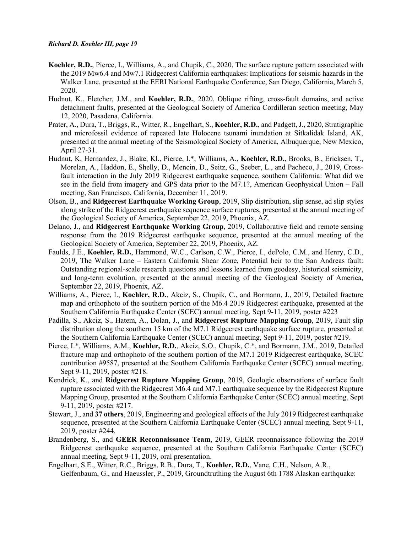- **Koehler, R.D.**, Pierce, I., Williams, A., and Chupik, C., 2020, The surface rupture pattern associated with the 2019 Mw6.4 and Mw7.1 Ridgecrest California earthquakes: Implications for seismic hazards in the Walker Lane, presented at the EERI National Earthquake Conference, San Diego, California, March 5, 2020.
- Hudnut, K., Fletcher, J.M., and **Koehler, R.D.**, 2020, Oblique rifting, cross-fault domains, and active detachment faults, presented at the Geological Society of America Cordilleran section meeting, May 12, 2020, Pasadena, California.
- Prater, A., Dura, T., Briggs, R., Witter, R., Engelhart, S., **Koehler, R.D.**, and Padgett, J., 2020, Stratigraphic and microfossil evidence of repeated late Holocene tsunami inundation at Sitkalidak Island, AK, presented at the annual meeting of the Seismological Society of America, Albuquerque, New Mexico, April 27-31.
- Hudnut, K, Hernandez, J., Blake, Kl., Pierce, I.\*, Williams, A., **Koehler, R.D.**, Brooks, B., Ericksen, T., Morelan, A., Haddon, E., Shelly, D., Mencin, D., Seitz, G., Seeber, L., and Pacheco, J., 2019, Crossfault interaction in the July 2019 Ridgecrest earthquake sequence, southern California: What did we see in the field from imagery and GPS data prior to the M7.1?, American Geophysical Union – Fall meeting, San Francisco, California, December 11, 2019.
- Olson, B., and **Ridgecrest Earthquake Working Group**, 2019, Slip distribution, slip sense, ad slip styles along strike of the Ridgecrest earthquake sequence surface ruptures, presented at the annual meeting of the Geological Society of America, September 22, 2019, Phoenix, AZ.
- Delano, J., and **Ridgecrest Earthquake Working Group**, 2019, Collaborative field and remote sensing response from the 2019 Ridgecrest earthquake sequence, presented at the annual meeting of the Geological Society of America, September 22, 2019, Phoenix, AZ.
- Faulds, J.E., **Koehler, R.D.**, Hammond, W.C., Carlson, C.W., Pierce, I., dePolo, C.M., and Henry, C.D., 2019, The Walker Lane – Eastern California Shear Zone, Potential heir to the San Andreas fault: Outstanding regional-scale research questions and lessons learned from geodesy, historical seismicity, and long-term evolution, presented at the annual meeting of the Geological Society of America, September 22, 2019, Phoenix, AZ.
- Williams, A., Pierce, I., **Koehler, R.D.**, Akciz, S., Chupik, C., and Bormann, J., 2019, Detailed fracture map and orthophoto of the southern portion of the M6.4 2019 Ridgecrest earthquake, presented at the Southern California Earthquake Center (SCEC) annual meeting, Sept 9-11, 2019, poster #223
- Padilla, S., Akciz, S., Hatem, A., Dolan, J., and **Ridgecrest Rupture Mapping Group**, 2019, Fault slip distribution along the southern 15 km of the M7.1 Ridgecrest earthquake surface rupture, presented at the Southern California Earthquake Center (SCEC) annual meeting, Sept 9-11, 2019, poster #219.
- Pierce, I.\*, Williams, A.M., **Koehler, R.D.**, Akciz, S.O., Chupik, C.\*, and Bormann, J.M., 2019, Detailed fracture map and orthophoto of the southern portion of the M7.1 2019 Ridgecrest earthquake, SCEC contribution #9587, presented at the Southern California Earthquake Center (SCEC) annual meeting, Sept 9-11, 2019, poster #218.
- Kendrick, K., and **Ridgecrest Rupture Mapping Group**, 2019, Geologic observations of surface fault rupture associated with the Ridgecrest M6.4 and M7.1 earthquake sequence by the Ridgecrest Rupture Mapping Group, presented at the Southern California Earthquake Center (SCEC) annual meeting, Sept 9-11, 2019, poster #217.
- Stewart, J., and **37 others**, 2019, Engineering and geological effects of the July 2019 Ridgecrest earthquake sequence, presented at the Southern California Earthquake Center (SCEC) annual meeting, Sept 9-11, 2019, poster #244.
- Brandenberg, S., and **GEER Reconnaissance Team**, 2019, GEER reconnaissance following the 2019 Ridgecrest earthquake sequence, presented at the Southern California Earthquake Center (SCEC) annual meeting, Sept 9-11, 2019, oral presentation.
- Engelhart, S.E., Witter, R.C., Briggs, R.B., Dura, T., **Koehler, R.D.**, Vane, C.H., Nelson, A.R., Gelfenbaum, G., and Haeussler, P., 2019, Groundtruthing the August 6th 1788 Alaskan earthquake: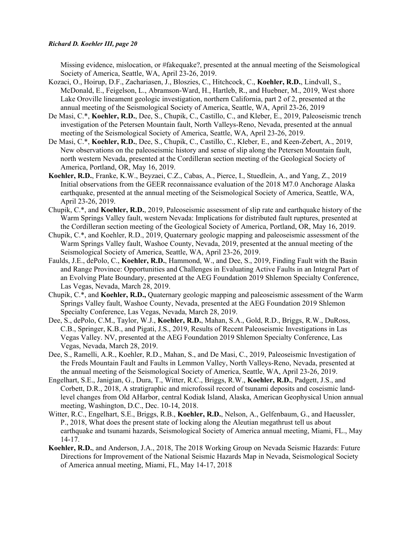Missing evidence, mislocation, or #fakequake?, presented at the annual meeting of the Seismological Society of America, Seattle, WA, April 23-26, 2019.

- Kozaci, O., Hoirup, D.F., Zachariasen, J., Bloszies, C., Hitchcock, C., **Koehler, R.D.**, Lindvall, S., McDonald, E., Feigelson, L., Abramson-Ward, H., Hartleb, R., and Huebner, M., 2019, West shore Lake Oroville lineament geologic investigation, northern California, part 2 of 2, presented at the annual meeting of the Seismological Society of America, Seattle, WA, April 23-26, 2019
- De Masi, C.\*, **Koehler, R.D.**, Dee, S., Chupik, C., Castillo, C., and Kleber, E., 2019, Paleoseismic trench investigation of the Petersen Mountain fault, North Valleys-Reno, Nevada, presented at the annual meeting of the Seismological Society of America, Seattle, WA, April 23-26, 2019.
- De Masi, C.\*, **Koehler, R.D.**, Dee, S., Chupik, C., Castillo, C., Kleber, E., and Keen-Zebert, A., 2019, New observations on the paleoseismic history and sense of slip along the Petersen Mountain fault, north western Nevada, presented at the Cordilleran section meeting of the Geological Society of America, Portland, OR, May 16, 2019.
- **Koehler, R.D.**, Franke, K.W., Beyzaei, C.Z., Cabas, A., Pierce, I., Stuedlein, A., and Yang, Z., 2019 Initial observations from the GEER reconnaissance evaluation of the 2018 M7.0 Anchorage Alaska earthquake, presented at the annual meeting of the Seismological Society of America, Seattle, WA, April 23-26, 2019.
- Chupik, C.\*, and **Koehler, R.D.**, 2019, Paleoseismic assessment of slip rate and earthquake history of the Warm Springs Valley fault, western Nevada: Implications for distributed fault ruptures, presented at the Cordilleran section meeting of the Geological Society of America, Portland, OR, May 16, 2019.
- Chupik, C.\*, and Koehler, R.D., 2019, Quaternary geologic mapping and paleoseismic assessment of the Warm Springs Valley fault, Washoe County, Nevada, 2019, presented at the annual meeting of the Seismological Society of America, Seattle, WA, April 23-26, 2019.
- Faulds, J.E., dePolo, C., **Koehler, R.D.**, Hammond, W., and Dee, S., 2019, Finding Fault with the Basin and Range Province: Opportunities and Challenges in Evaluating Active Faults in an Integral Part of an Evolving Plate Boundary, presented at the AEG Foundation 2019 Shlemon Specialty Conference, Las Vegas, Nevada, March 28, 2019.
- Chupik, C.\*, and **Koehler, R.D.,** Quaternary geologic mapping and paleoseismic assessment of the Warm Springs Valley fault, Washoe County, Nevada, presented at the AEG Foundation 2019 Shlemon Specialty Conference, Las Vegas, Nevada, March 28, 2019.
- Dee, S., dePolo, C.M., Taylor, W.J., **Koehler, R.D.**, Mahan, S.A., Gold, R.D., Briggs, R.W., DuRoss, C.B., Springer, K.B., and Pigati, J.S., 2019, Results of Recent Paleoseismic Investigations in Las Vegas Valley. NV, presented at the AEG Foundation 2019 Shlemon Specialty Conference, Las Vegas, Nevada, March 28, 2019.
- Dee, S., Ramelli, A.R., Koehler, R.D., Mahan, S., and De Masi, C., 2019, Paleoseismic Investigation of the Freds Mountain Fault and Faults in Lemmon Valley, North Valleys-Reno, Nevada, presented at the annual meeting of the Seismological Society of America, Seattle, WA, April 23-26, 2019.
- Engelhart, S.E., Janigian, G., Dura, T., Witter, R.C., Briggs, R.W., **Koehler, R.D.**, Padgett, J.S., and Corbett, D.R., 2018, A stratigraphic and microfossil record of tsunami deposits and coseismic landlevel changes from Old AHarbor, central Kodiak Island, Alaska, American Geophysical Union annual meeting, Washington, D.C., Dec. 10-14, 2018.
- Witter, R.C., Engelhart, S.E., Briggs, R.B., **Koehler, R.D.**, Nelson, A., Gelfenbaum, G., and Haeussler, P., 2018, What does the present state of locking along the Aleutian megathrust tell us about earthquake and tsunami hazards, Seismological Society of America annual meeting, Miami, FL., May 14-17.
- **Koehler, R.D.**, and Anderson, J.A., 2018, The 2018 Working Group on Nevada Seismic Hazards: Future Directions for Improvement of the National Seismic Hazards Map in Nevada, Seismological Society of America annual meeting, Miami, FL, May 14-17, 2018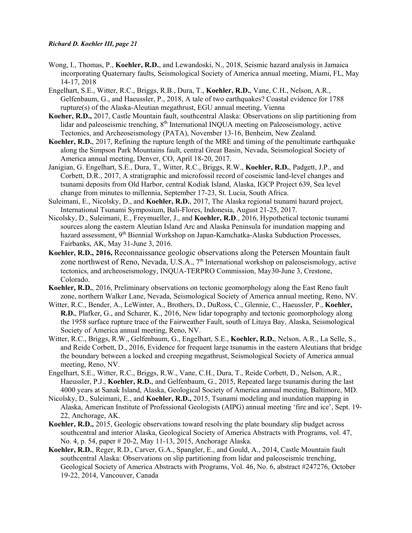- Wong, I., Thomas, P., **Koehler, R.D.**, and Lewandoski, N., 2018, Seismic hazard analysis in Jamaica incorporating Quaternary faults, Seismological Society of America annual meeting, Miami, FL, May 14-17, 2018
- Engelhart, S.E., Witter, R.C., Briggs, R.B., Dura, T., **Koehler, R.D.**, Vane, C.H., Nelson, A.R., Gelfenbaum, G., and Haeussler, P., 2018, A tale of two earthquakes? Coastal evidence for 1788 rupture(s) of the Alaska-Aleutian megathrust, EGU annual meeting, Vienna
- **Koeher, R.D.,** 2017, Castle Mountain fault, southcentral Alaska: Observations on slip partitioning from lidar and paleoseismic trenching, 8<sup>th</sup> International INQUA meeting on Paleoseismology, active Tectonics, and Archeoseismology (PATA), November 13-16, Benheim, New Zealand.
- **Koehler, R.D.**, 2017, Refining the rupture length of the MRE and timing of the penultimate earthquake along the Simpson Park Mountains fault, central Great Basin, Nevada, Seismological Society of America annual meeting, Denver, CO, April 18-20, 2017.
- Janigian, G. Engelhart, S.E., Dura, T., Witter, R.C., Briggs, R.W., **Koehler, R.D.**, Padgett, J.P., and Corbett, D.R., 2017, A stratigraphic and microfossil record of coseismic land-level changes and tsunami deposits from Old Harbor, central Kodiak Island, Alaska, IGCP Project 639, Sea level change from minutes to millennia, September 17-23, St. Lucia, South Africa.
- Suleimani, E., Nicolsky, D., and **Koehler, R.D.**, 2017, The Alaska regional tsunami hazard project, International Tsunami Symposium, Bali-Flores, Indonesia, August 21-25, 2017.
- Nicolsky, D., Suleimani, E., Freymueller, J., and **Koehler, R.D**., 2016, Hypothetical tectonic tsunami sources along the eastern Aleutian Island Arc and Alaska Peninsula for inundation mapping and hazard assessment, 9<sup>th</sup> Biennial Workshop on Japan-Kamchatka-Alaska Subduction Processes, Fairbanks, AK, May 31-June 3, 2016.
- **Koehler, R.D., 2016,** Reconnaissance geologic observations along the Petersen Mountain fault zone northwest of Reno, Nevada, U.S.A.,  $7<sup>th</sup>$  International workshop on paleoseismology, active tectonics, and archeoseismology, INQUA-TERPRO Commission, May30-June 3, Crestone, Colorado.
- **Koehler, R.D.**, 2016, Preliminary observations on tectonic geomorphology along the East Reno fault zone, northern Walker Lane, Nevada, Seismological Society of America annual meeting, Reno, NV.
- Witter, R.C., Bender, A., LeWinter, A., Brothers, D., DuRoss, C., Glennie, C., Haeussler, P., **Koehler, R.D.**, Plafker, G., and Scharer, K., 2016, New lidar topography and tectonic geomorphology along the 1958 surface rupture trace of the Fairweather Fault, south of Lituya Bay, Alaska, Seismological Society of America annual meeting, Reno, NV.
- Witter, R.C., Briggs, R.W., Gelfenbaum, G., Engelhart, S.E., **Koehler, R.D.**, Nelson, A.R., La Selle, S., and Reide Corbett, D., 2016, Evidence for frequent large tsunamis in the eastern Aleutians that bridge the boundary between a locked and creeping megathrust, Seismological Society of America annual meeting, Reno, NV.
- Engelhart, S.E., Witter, R.C., Briggs, R.W., Vane, C.H., Dura, T., Reide Corbett, D., Nelson, A.R., Haeussler, P.J., **Koehler, R.D.**, and Gelfenbaum, G., 2015, Repeated large tsunamis during the last 4000 years at Sanak Island, Alaska, Geological Society of America annual meeting, Baltimore, MD.
- Nicolsky, D., Suleimani, E., and **Koehler, R.D.,** 2015, Tsunami modeling and inundation mapping in Alaska, American Institute of Professional Geologists (AIPG) annual meeting 'fire and ice', Sept. 19- 22, Anchorage, AK.
- **Koehler, R.D.,** 2015, Geologic observations toward resolving the plate boundary slip budget across southcentral and interior Alaska, Geological Society of America Abstracts with Programs, vol. 47, No. 4, p. 54, paper # 20-2, May 11-13, 2015, Anchorage Alaska.
- **Koehler, R.D.**, Reger, R.D., Carver, G.A., Spangler, E., and Gould, A., 2014, Castle Mountain fault southcentral Alaska: Observations on slip partitioning from lidar and paleoseismic trenching, Geological Society of America Abstracts with Programs, Vol. 46, No. 6, abstract #247276, October 19-22, 2014, Vancouver, Canada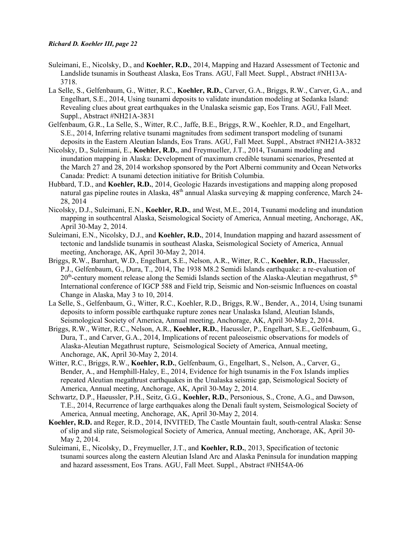- Suleimani, E., Nicolsky, D., and **Koehler, R.D.**, 2014, Mapping and Hazard Assessment of Tectonic and Landslide tsunamis in Southeast Alaska, Eos Trans. AGU, Fall Meet. Suppl., Abstract #NH13A-3718.
- La Selle, S., Gelfenbaum, G., Witter, R.C., **Koehler, R.D.**, Carver, G.A., Briggs, R.W., Carver, G.A., and Engelhart, S.E., 2014, Using tsunami deposits to validate inundation modeling at Sedanka Island: Revealing clues about great earthquakes in the Unalaska seismic gap, Eos Trans. AGU, Fall Meet. Suppl., Abstract #NH21A-3831
- Gelfenbaum, G.R., La Selle, S., Witter, R.C., Jaffe, B.E., Briggs, R.W., Koehler, R.D., and Engelhart, S.E., 2014, Inferring relative tsunami magnitudes from sediment transport modeling of tsunami deposits in the Eastern Aleutian Islands, Eos Trans. AGU, Fall Meet. Suppl., Abstract #NH21A-3832
- Nicolsky, D., Suleimani, E., **Koehler, R.D.**, and Freymueller, J.T., 2014, Tsunami modeling and inundation mapping in Alaska: Development of maximum credible tsunami scenarios, Presented at the March 27 and 28, 2014 workshop sponsored by the Port Alberni community and Ocean Networks Canada: Predict: A tsunami detection initiative for British Columbia.
- Hubbard, T.D., and **Koehler, R.D.**, 2014, Geologic Hazards investigations and mapping along proposed natural gas pipeline routes in Alaska,  $48<sup>th</sup>$  annual Alaska surveying & mapping conference, March 24-28, 2014
- Nicolsky, D.J., Suleimani, E.N., **Koehler, R.D.**, and West, M.E., 2014, Tsunami modeling and inundation mapping in southcentral Alaska, Seismological Society of America, Annual meeting, Anchorage, AK, April 30-May 2, 2014.
- Suleimani, E.N., Nicolsky, D.J., and **Koehler, R.D.**, 2014, Inundation mapping and hazard assessment of tectonic and landslide tsunamis in southeast Alaska, Seismological Society of America, Annual meeting, Anchorage, AK, April 30-May 2, 2014.
- Briggs, R.W., Barnhart, W.D., Engelhart, S.E., Nelson, A.R., Witter, R.C., **Koehler, R.D.**, Haeussler, P.J., Gelfenbaum, G., Dura, T., 2014, The 1938 M8.2 Semidi Islands earthquake: a re-evaluation of  $20<sup>th</sup>$ -century moment release along the Semidi Islands section of the Alaska-Aleutian megathrust,  $5<sup>th</sup>$ International conference of IGCP 588 and Field trip, Seismic and Non-seismic Influences on coastal Change in Alaska, May 3 to 10, 2014.
- La Selle, S., Gelfenbaum, G., Witter, R.C., Koehler, R.D., Briggs, R.W., Bender, A., 2014, Using tsunami deposits to inform possible earthquake rupture zones near Unalaska Island, Aleutian Islands, Seismological Society of America, Annual meeting, Anchorage, AK, April 30-May 2, 2014.
- Briggs, R.W., Witter, R.C., Nelson, A.R., **Koehler, R.D.**, Haeussler, P., Engelhart, S.E., Gelfenbaum, G., Dura, T., and Carver, G.A., 2014, Implications of recent paleoseismic observations for models of Alaska-Aleutian Megathrust rupture, Seismological Society of America, Annual meeting, Anchorage, AK, April 30-May 2, 2014.
- Witter, R.C., Briggs, R.W., **Koehler, R.D.**, Gelfenbaum, G., Engelhart, S., Nelson, A., Carver, G., Bender, A., and Hemphill-Haley, E., 2014, Evidence for high tsunamis in the Fox Islands implies repeated Aleutian megathrust earthquakes in the Unalaska seismic gap, Seismological Society of America, Annual meeting, Anchorage, AK, April 30-May 2, 2014.
- Schwartz, D.P., Haeussler, P.H., Seitz, G.G., **Koehler, R.D.**, Personious, S., Crone, A.G., and Dawson, T.E., 2014, Recurrence of large earthquakes along the Denali fault system, Seismological Society of America, Annual meeting, Anchorage, AK, April 30-May 2, 2014.
- **Koehler, R.D.** and Reger, R.D., 2014, INVITED, The Castle Mountain fault, south-central Alaska: Sense of slip and slip rate, Seismological Society of America, Annual meeting, Anchorage, AK, April 30- May 2, 2014.
- Suleimani, E., Nicolsky, D., Freymueller, J.T., and **Koehler, R.D.**, 2013, Specification of tectonic tsunami sources along the eastern Aleutian Island Arc and Alaska Peninsula for inundation mapping and hazard assessment, Eos Trans. AGU, Fall Meet. Suppl., Abstract #NH54A-06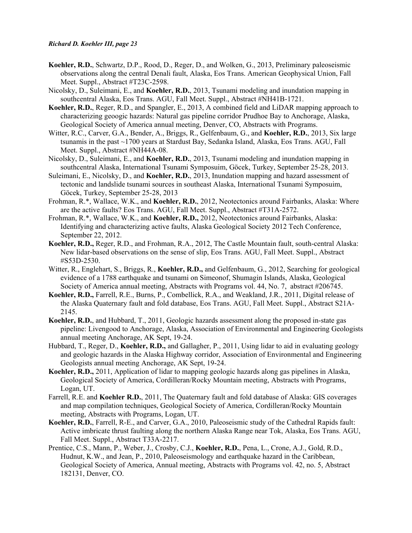- **Koehler, R.D.**, Schwartz, D.P., Rood, D., Reger, D., and Wolken, G., 2013, Preliminary paleoseismic observations along the central Denali fault, Alaska, Eos Trans. American Geophysical Union, Fall Meet. Suppl., Abstract #T23C-2598.
- Nicolsky, D., Suleimani, E., and **Koehler, R.D.**, 2013, Tsunami modeling and inundation mapping in southcentral Alaska, Eos Trans. AGU, Fall Meet. Suppl., Abstract #NH41B-1721.
- **Koehler, R.D.**, Reger, R.D., and Spangler, E., 2013, A combined field and LiDAR mapping approach to characterizing geoogic hazards: Natural gas pipeline corridor Prudhoe Bay to Anchorage, Alaska, Geological Society of America annual meeting, Denver, CO, Abstracts with Programs.
- Witter, R.C., Carver, G.A., Bender, A., Briggs, R., Gelfenbaum, G., and **Koehler, R.D.**, 2013, Six large tsunamis in the past ~1700 years at Stardust Bay, Sedanka Island, Alaska, Eos Trans. AGU, Fall Meet. Suppl., Abstract #NH44A-08.
- Nicolsky, D., Suleimani, E., and **Koehler, R.D.**, 2013, Tsunami modeling and inundation mapping in southcentral Alaska, International Tsunami Symposuim, Göcek, Turkey, September 25-28, 2013.
- Suleimani, E., Nicolsky, D., and **Koehler, R.D.**, 2013, Inundation mapping and hazard assessment of tectonic and landslide tsunami sources in southeast Alaska, International Tsunami Symposuim, Göcek, Turkey, September 25-28, 2013
- Frohman, R.\*, Wallace, W.K., and **Koehler, R.D.**, 2012, Neotectonics around Fairbanks, Alaska: Where are the active faults? Eos Trans. AGU, Fall Meet. Suppl., Abstract #T31A-2572.
- Frohman, R.\*, Wallace, W.K., and **Koehler, R.D.,** 2012, Neotectonics around Fairbanks, Alaska: Identifying and characterizing active faults, Alaska Geological Society 2012 Tech Conference, September 22, 2012.
- **Koehler, R.D.,** Reger, R.D., and Frohman, R.A., 2012, The Castle Mountain fault, south-central Alaska: New lidar-based observations on the sense of slip, Eos Trans. AGU, Fall Meet. Suppl., Abstract #S53D-2530.
- Witter, R., Englehart, S., Briggs, R., **Koehler, R.D.,** and Gelfenbaum, G., 2012, Searching for geological evidence of a 1788 earthquake and tsunami on Simeonof, Shumagin Islands, Alaska, Geological Society of America annual meeting, Abstracts with Programs vol. 44, No. 7, abstract #206745.
- **Koehler, R.D.,** Farrell, R.E., Burns, P., Combellick, R.A., and Weakland, J.R., 2011, Digital release of the Alaska Quaternary fault and fold database, Eos Trans. AGU, Fall Meet. Suppl., Abstract S21A-2145.
- **Koehler, R.D.**, and Hubbard, T., 2011, Geologic hazards assessment along the proposed in-state gas pipeline: Livengood to Anchorage, Alaska, Association of Environmental and Engineering Geologists annual meeting Anchorage, AK Sept, 19-24.
- Hubbard, T., Reger, D., **Koehler, R.D.,** and Gallagher, P., 2011, Using lidar to aid in evaluating geology and geologic hazards in the Alaska Highway corridor, Association of Environmental and Engineering Geologists annual meeting Anchorage, AK Sept, 19-24.
- **Koehler, R.D.,** 2011, Application of lidar to mapping geologic hazards along gas pipelines in Alaska, Geological Society of America, Cordilleran/Rocky Mountain meeting, Abstracts with Programs, Logan, UT.
- Farrell, R.E. and **Koehler R.D.**, 2011, The Quaternary fault and fold database of Alaska: GIS coverages and map compilation techniques, Geological Society of America, Cordilleran/Rocky Mountain meeting, Abstracts with Programs, Logan, UT.
- **Koehler, R.D.**, Farrell, R-E., and Carver, G.A., 2010, Paleoseismic study of the Cathedral Rapids fault: Active imbricate thrust faulting along the northern Alaska Range near Tok, Alaska, Eos Trans. AGU, Fall Meet. Suppl., Abstract T33A-2217.
- Prentice, C.S., Mann, P., Weber, J., Crosby, C.J., **Koehler, R.D.**, Pena, L., Crone, A.J., Gold, R.D., Hudnut, K.W., and Jean, P., 2010, Paleoseismology and earthquake hazard in the Caribbean, Geological Society of America, Annual meeting, Abstracts with Programs vol. 42, no. 5, Abstract 182131, Denver, CO.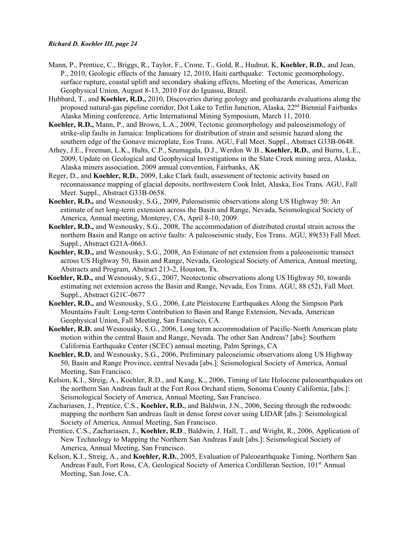- Mann, P., Prentice, C., Briggs, R., Taylor, F., Crone, T., Gold, R., Hudnut, K, **Koehler, R.D.**, and Jean, P., 2010, Geologic effects of the January 12, 2010, Haiti earthquake: Tectonic geomorphology, surface rupture, coastal uplift and secondary shaking effects, Meeting of the Americas, American Geophysical Union, August 8-13, 2010 Foz do Iguassu, Brazil.
- Hubbard, T., and **Koehler, R.D.,** 2010, Discoveries during geology and geohazards evaluations along the proposed natural-gas pipeline corridor, Dot Lake to Tetlin Junction, Alaska, 22<sup>nd</sup> Biennial Fairbanks Alaska Mining conference, Artic International Mining Symposium, March 11, 2010.
- **Koehler, R.D.,** Mann, P., and Brown, L.A., 2009, Tectonic geomorphology and paleoseismology of strike-slip faults in Jamaica: Implications for distribution of strain and seismic hazard along the southern edge of the Gonave microplate, Eos Trans. AGU, Fall Meet. Suppl., Abstract G33B-0648.
- Athey, J.E., Freeman, L.K., Hults, C.P., Szumagala, D.J., Werdon W.B., **Koehler, R.D.**, and Burns, L.E., 2009, Update on Geological and Geophysical Investigations in the Slate Creek mining area, Alaska, Alaska miners association, 2009 annual convention, Fairbanks, AK
- Reger, D., and **Koehler, R.D.**, 2009, Lake Clark fault, assessment of tectonic activity based on reconnaissance mapping of glacial deposits, northwestern Cook Inlet, Alaska, Eos Trans. AGU, Fall Meet. Suppl., Abstract G33B-0658.
- **Koehler, R.D.,** and Wesnousky, S.G., 2009, Paleoseismic observations along US Highway 50: An estimate of net long-term extension across the Basin and Range, Nevada, Seismological Society of America, Annual meeting, Monterey, CA, April 8-10, 2009.
- **Koehler, R.D.,** and Wesnousky, S.G., 2008, The accommodation of distributed crustal strain across the northern Basin and Range on active faults: A paleoseismic study, Eos Trans. AGU, 89(53) Fall Meet. Suppl., Abstract G21A-0663.
- **Koehler, R.D.,** and Wesnousky, S.G., 2008, An Estimate of net extension from a paleoseismic transect across US Highway 50, Basin and Range, Nevada, Geological Society of America, Annual meeting, Abstracts and Program, Abstract 213-2, Houston, Tx.
- **Koehler, R.D.,** and Wesnousky, S.G., 2007, Neotectonic observations along US Highway 50, towards estimating net extension across the Basin and Range, Nevada, Eos Trans. AGU, 88 (52), Fall Meet. Suppl., Abstract G21C-0677
- **Koehler, R.D.,** and Wesnousky, S.G., 2006, Late Pleistocene Earthquakes Along the Simpson Park Mountains Fault: Long-term Contribution to Basin and Range Extension, Nevada, American Geophysical Union, Fall Meeting, San Francisco, CA.
- **Koehler, R.D.** and Wesnousky, S.G., 2006, Long term accommodation of Pacific-North American plate motion within the central Basin and Range, Nevada. The other San Andreas? [abs]: Southern California Earthquake Center (SCEC) annual meeting, Palm Springs, CA
- **Koehler, R.D.** and Wesnousky, S.G., 2006, Preliminary paleoseismic observations along US Highway 50, Basin and Range Province, central Nevada [abs.]: Seismological Society of America, Annual Meeting, San Francisco.
- Kelson, K.I., Streig, A., Koehler, R.D., and Kang, K., 2006, Timing of late Holocene paleoearthquakes on the northern San Andreas fault at the Fort Ross Orchard stiem, Sonoma County California, [abs.]: Seismological Society of America, Annual Meeting, San Francisco.
- Zachariasen, J., Prentice, C.S., **Koehler, R.D.**, and Baldwin, J.N., 2006, Seeing through the redwoods: mapping the northern San andreas fault in dense forest cover using LIDAR [abs.]: Seismological Society of America, Annual Meeting, San Francisco.
- Prentice, C.S., Zachariasen, J., **Koehler, R.D**., Baldwin, J. Hall, T., and Wright, R., 2006, Application of New Technology to Mapping the Northern San Andreas Fault [abs.]: Seismological Society of America, Annual Meeting, San Francisco.
- Kelson, K.I., Streig, A., and **Koehler, R.D.**, 2005, Evaluation of Paleoearthquake Timing, Northern San Andreas Fault, Fort Ross, CA, Geological Society of America Cordilleran Section, 101<sup>st</sup> Annual Meeting, San Jose, CA.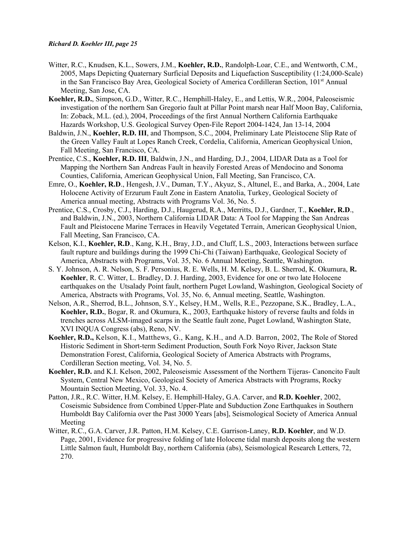- Witter, R.C., Knudsen, K.L., Sowers, J.M., **Koehler, R.D.**, Randolph-Loar, C.E., and Wentworth, C.M., 2005, Maps Depicting Quaternary Surficial Deposits and Liquefaction Susceptibility (1:24,000-Scale) in the San Francisco Bay Area, Geological Society of America Cordilleran Section, 101<sup>st</sup> Annual Meeting, San Jose, CA.
- **Koehler, R.D.**, Simpson, G.D., Witter, R.C., Hemphill-Haley, E., and Lettis, W.R., 2004, Paleoseismic investigation of the northern San Gregorio fault at Pillar Point marsh near Half Moon Bay, California, In: Zoback, M.L. (ed.), 2004, Proceedings of the first Annual Northern California Earthquake Hazards Workshop, U.S. Geological Survey Open-File Report 2004-1424, Jan 13-14, 2004
- Baldwin, J.N., **Koehler, R.D. III**, and Thompson, S.C., 2004, Preliminary Late Pleistocene Slip Rate of the Green Valley Fault at Lopes Ranch Creek, Cordelia, California, American Geophysical Union, Fall Meeting, San Francisco, CA.
- Prentice, C.S., **Koehler, R.D. III**, Baldwin, J.N., and Harding, D.J., 2004, LIDAR Data as a Tool for Mapping the Northern San Andreas Fault in heavily Forested Areas of Mendocino and Sonoma Counties, California, American Geophysical Union, Fall Meeting, San Francisco, CA.
- Emre, O., **Koehler, R.D**., Hengesh, J.V., Duman, T.Y., Akyuz, S., Altunel, E., and Barka, A., 2004, [Late](http://gsa.confex.com/gsa/2004AM/finalprogram/abstract_76941.htm)  [Holocene Activity of Erzurum Fault Zone in Eastern Anatolia, Turkey,](http://gsa.confex.com/gsa/2004AM/finalprogram/abstract_76941.htm) Geological Society of America annual meeting, Abstracts with Programs Vol. 36, No. 5.
- Prentice, C.S., Crosby, C.J., Harding, D.J., Haugerud, R.A., Merritts, D.J., Gardner, T., **Koehler, R.D**., and Baldwin, J.N., 2003, Northern California LIDAR Data: A Tool for Mapping the San Andreas Fault and Pleistocene Marine Terraces in Heavily Vegetated Terrain, American Geophysical Union, Fall Meeting, San Francisco, CA.
- Kelson, K.I., **Koehler, R.D**., Kang, K.H., Bray, J.D., and Cluff, L.S., 2003, Interactions between surface fault rupture and buildings during the 1999 Chi-Chi (Taiwan) Earthquake, Geological Society of America, Abstracts with Programs, Vol. 35, No. 6 Annual Meeting, Seattle, Washington.
- S. Y. Johnson, A. R. Nelson, S. F. Personius, R. E. Wells, H. M. Kelsey, B. L. Sherrod, K. Okumura, **R. Koehler**, R. C. Witter, L. Bradley, D. J. Harding, 2003, Evidence for one or two late Holocene earthquakes on the Utsalady Point fault, northern Puget Lowland, Washington, Geological Society of America, Abstracts with Programs, Vol. 35, No. 6, Annual meeting, Seattle, Washington.
- Nelson, A.R., Sherrod, B.L., Johnson, S.Y., Kelsey, H.M., Wells, R.E., Pezzopane, S.K., Bradley, L.A., **Koehler, R.D.**, Bogar, R. and Okumura, K., 2003, Earthquake history of reverse faults and folds in trenches across ALSM-imaged scarps in the Seattle fault zone, Puget Lowland, Washington State, XVI INQUA Congress (abs), Reno, NV.
- **Koehler, R.D.,** Kelson, K.I., Matthews, G., Kang, K.H., and A.D. Barron, 2002, The Role of Stored Historic Sediment in Short-term Sediment Production, South Fork Noyo River, Jackson State Demonstration Forest, California, Geological Society of America Abstracts with Programs, Cordilleran Section meeting, Vol. 34, No. 5.
- **Koehler, R.D.** and K.I. Kelson, 2002, Paleoseismic Assessment of the Northern Tijeras- Canoncito Fault System, Central New Mexico, Geological Society of America Abstracts with Programs, Rocky Mountain Section Meeting, Vol. 33, No. 4.
- Patton, J.R., R.C. Witter, H.M. Kelsey, E. Hemphill-Haley, G.A. Carver, and **R.D. Koehler**, 2002, Coseismic Subsidence from Combined Upper-Plate and Subduction Zone Earthquakes in Southern Humboldt Bay California over the Past 3000 Years [abs], Seismological Society of America Annual Meeting
- Witter, R.C., G.A. Carver, J.R. Patton, H.M. Kelsey, C.E. Garrison-Laney, **R.D. Koehler**, and W.D. Page, 2001, Evidence for progressive folding of late Holocene tidal marsh deposits along the western Little Salmon fault, Humboldt Bay, northern California (abs), Seismological Research Letters, 72, 270.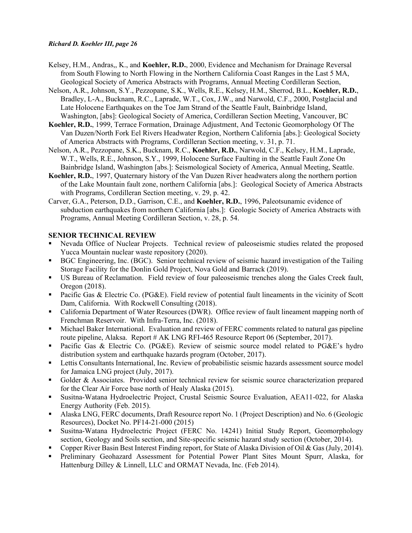- Kelsey, H.M., Andras,, K., and **Koehler, R.D.**, 2000, Evidence and Mechanism for Drainage Reversal from South Flowing to North Flowing in the Northern California Coast Ranges in the Last 5 MA, Geological Society of America Abstracts with Programs, Annual Meeting Cordilleran Section,
- Nelson, A.R., Johnson, S.Y., Pezzopane, S.K., Wells, R.E., Kelsey, H.M., Sherrod, B.L., **Koehler, R.D.**, Bradley, L-A., Bucknam, R.C., Laprade, W.T., Cox, J.W., and Narwold, C.F., 2000, Postglacial and Late Holocene Earthquakes on the Toe Jam Strand of the Seattle Fault, Bainbridge Island, Washington, [abs]: Geological Society of America, Cordilleran Section Meeting, Vancouver, BC
- **Koehler, R.D.**, 1999, Terrace Formation, Drainage Adjustment, And Tectonic Geomorphology Of The Van Duzen/North Fork Eel Rivers Headwater Region, Northern California [abs.]: Geological Society of America Abstracts with Programs, Cordilleran Section meeting, v. 31, p. 71.
- Nelson, A.R., Pezzopane, S.K., Bucknam, R.C., **Koehler, R.D.**, Narwold, C.F., Kelsey, H.M., Laprade, W.T., Wells, R.E., Johnson, S.Y., 1999, Holocene Surface Faulting in the Seattle Fault Zone On Bainbridge Island, Washington [abs.]: Seismological Society of America, Annual Meeting, Seattle.
- **Koehler, R.D.**, 1997, Quaternary history of the Van Duzen River headwaters along the northern portion of the Lake Mountain fault zone, northern California [abs.]: Geological Society of America Abstracts with Programs, Cordilleran Section meeting, v. 29, p. 42.
- Carver, G.A., Peterson, D.D., Garrison, C.E., and **Koehler, R.D.**, 1996, Paleotsunamic evidence of subduction earthquakes from northern California [abs.]: Geologic Society of America Abstracts with Programs, Annual Meeting Cordilleran Section, v. 28, p. 54.

## **SENIOR TECHNICAL REVIEW**

- Nevada Office of Nuclear Projects. Technical review of paleoseismic studies related the proposed Yucca Mountain nuclear waste repository (2020).
- BGC Engineering, Inc. (BGC). Senior technical review of seismic hazard investigation of the Tailing Storage Facility for the Donlin Gold Project, Nova Gold and Barrack (2019).
- US Bureau of Reclamation. Field review of four paleoseismic trenches along the Gales Creek fault, Oregon (2018).
- **Pacific Gas & Electric Co. (PG&E). Field review of potential fault lineaments in the vicinity of Scott** Dam, California. With Rockwell Consulting (2018).
- California Department of Water Resources (DWR). Office review of fault lineament mapping north of Frenchman Reservoir. With Infra-Terra, Inc. (2018).
- Michael Baker International. Evaluation and review of FERC comments related to natural gas pipeline route pipeline, Alaksa. Report # AK LNG RFI-465 Resource Report 06 (September, 2017).
- Pacific Gas & Electric Co. (PG&E). Review of seismic source model related to PG&E's hydro distribution system and earthquake hazards program (October, 2017).
- Lettis Consultants International, Inc. Review of probabilistic seismic hazards assessment source model for Jamaica LNG project (July, 2017).
- Golder & Associates. Provided senior technical review for seismic source characterization prepared for the Clear Air Force base north of Healy Alaska (2015).
- Susitna-Watana Hydroelectric Project, Crustal Seismic Source Evaluation, AEA11-022, for Alaska Energy Authority (Feb. 2015).
- Alaska LNG, FERC documents, Draft Resource report No. 1 (Project Description) and No. 6 (Geologic Resources), Docket No. PF14-21-000 (2015)
- Susitna-Watana Hydroelectric Project (FERC No. 14241) Initial Study Report, Geomorphology section, Geology and Soils section, and Site-specific seismic hazard study section (October, 2014).
- Copper River Basin Best Interest Finding report, for State of Alaska Division of Oil & Gas (July, 2014).
- Preliminary Geohazard Assessment for Potential Power Plant Sites Mount Spurr, Alaska, for Hattenburg Dilley & Linnell, LLC and ORMAT Nevada, Inc. (Feb 2014).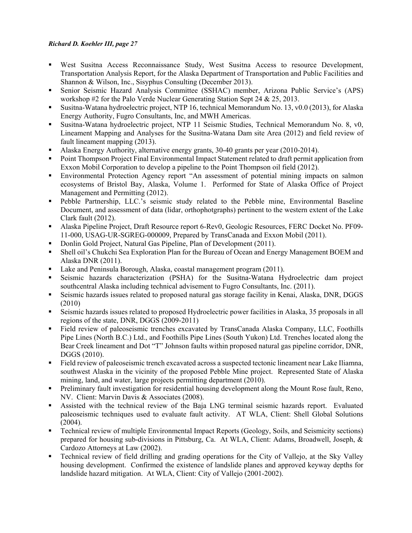- West Susitna Access Reconnaissance Study, West Susitna Access to resource Development, Transportation Analysis Report, for the Alaska Department of Transportation and Public Facilities and Shannon & Wilson, Inc., Sisyphus Consulting (December 2013).
- Senior Seismic Hazard Analysis Committee (SSHAC) member, Arizona Public Service's (APS) workshop #2 for the Palo Verde Nuclear Generating Station Sept 24 & 25, 2013.
- Susitna-Watana hydroelectric project, NTP 16, technical Memorandum No. 13, v0.0 (2013), for Alaska Energy Authority, Fugro Consultants, Inc, and MWH Americas.
- Susitna-Watana hydroelectric project, NTP 11 Seismic Studies, Technical Memorandum No. 8, v0, Lineament Mapping and Analyses for the Susitna-Watana Dam site Area (2012) and field review of fault lineament mapping (2013).
- Alaska Energy Authority, alternative energy grants, 30-40 grants per year (2010-2014).
- Point Thompson Project Final Environmental Impact Statement related to draft permit application from Exxon Mobil Corporation to develop a pipeline to the Point Thompson oil field (2012).
- Environmental Protection Agency report "An assessment of potential mining impacts on salmon ecosystems of Bristol Bay, Alaska, Volume 1. Performed for State of Alaska Office of Project Management and Permitting (2012).
- Pebble Partnership, LLC.'s seismic study related to the Pebble mine, Environmental Baseline Document, and assessment of data (lidar, orthophotgraphs) pertinent to the western extent of the Lake Clark fault (2012).
- Alaska Pipeline Project, Draft Resource report 6-Rev0, Geologic Resources, FERC Docket No. PF09- 11-000, USAG-UR-SGREG-000009, Prepared by TransCanada and Exxon Mobil (2011).
- Donlin Gold Project, Natural Gas Pipeline, Plan of Development (2011).
- Shell oil's Chukchi Sea Exploration Plan for the Bureau of Ocean and Energy Management BOEM and Alaska DNR (2011).
- Lake and Peninsula Borough, Alaska, coastal management program (2011).
- Seismic hazards characterization (PSHA) for the Susitna-Watana Hydroelectric dam project southcentral Alaska including technical advisement to Fugro Consultants, Inc. (2011).
- Seismic hazards issues related to proposed natural gas storage facility in Kenai, Alaska, DNR, DGGS (2010)
- Seismic hazards issues related to proposed Hydroelectric power facilities in Alaska, 35 proposals in all regions of the state, DNR, DGGS (2009-2011)
- Field review of paleoseismic trenches excavated by TransCanada Alaska Company, LLC, Foothills Pipe Lines (North B.C.) Ltd., and Foothills Pipe Lines (South Yukon) Ltd. Trenches located along the Bear Creek lineament and Dot "T" Johnson faults within proposed natural gas pipeline corridor, DNR, DGGS (2010).
- Field review of paleoseismic trench excavated across a suspected tectonic lineament near Lake Iliamna, southwest Alaska in the vicinity of the proposed Pebble Mine project. Represented State of Alaska mining, land, and water, large projects permitting department (2010).
- **Preliminary fault investigation for residential housing development along the Mount Rose fault, Reno,** NV. Client: Marvin Davis & Associates (2008).
- Assisted with the technical review of the Baja LNG terminal seismic hazards report. Evaluated paleoseismic techniques used to evaluate fault activity. AT WLA, Client: Shell Global Solutions (2004).
- Technical review of multiple Environmental Impact Reports (Geology, Soils, and Seismicity sections) prepared for housing sub-divisions in Pittsburg, Ca. At WLA, Client: Adams, Broadwell, Joseph, & Cardozo Attorneys at Law (2002).
- Technical review of field drilling and grading operations for the City of Vallejo, at the Sky Valley housing development. Confirmed the existence of landslide planes and approved keyway depths for landslide hazard mitigation. At WLA, Client: City of Vallejo (2001-2002).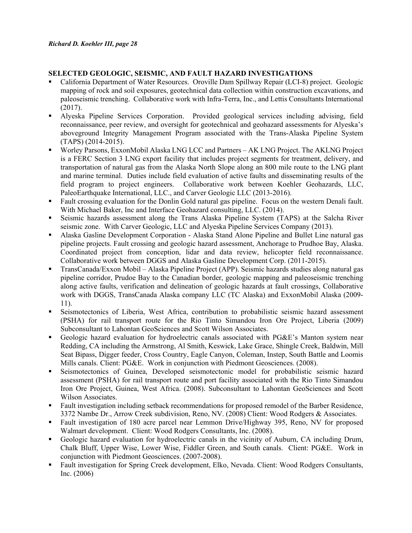# **SELECTED GEOLOGIC, SEISMIC, AND FAULT HAZARD INVESTIGATIONS**

- California Department of Water Resources. Oroville Dam Spillway Repair (LCI-8) project. Geologic mapping of rock and soil exposures, geotechnical data collection within construction excavations, and paleoseismic trenching. Collaborative work with Infra-Terra, Inc., and Lettis Consultants International (2017).
- Alyeska Pipeline Services Corporation. Provided geological services including advising, field reconnaissance, peer review, and oversight for geotechnical and geohazard assessments for Alyeska's aboveground Integrity Management Program associated with the Trans-Alaska Pipeline System (TAPS) (2014-2015).
- Worley Parsons, ExxonMobil Alaska LNG LCC and Partners AK LNG Project. The AKLNG Project is a FERC Section 3 LNG export facility that includes project segments for treatment, delivery, and transportation of natural gas from the Alaska North Slope along an 800 mile route to the LNG plant and marine terminal. Duties include field evaluation of active faults and disseminating results of the field program to project engineers. Collaborative work between Koehler Geohazards, LLC, PaleoEarthquake International, LLC., and Carver Geologic LLC (2013-2016).
- Fault crossing evaluation for the Donlin Gold natural gas pipeline. Focus on the western Denali fault. With Michael Baker, Inc and Interface Geohazard consulting, LLC. (2014).
- Seismic hazards assessment along the Trans Alaska Pipeline System (TAPS) at the Salcha River seismic zone. With Carver Geologic, LLC and Alyeska Pipeline Services Company (2013).
- Alaska Gasline Development Corporation Alaska Stand Alone Pipeline and Bullet Line natural gas pipeline projects. Fault crossing and geologic hazard assessment, Anchorage to Prudhoe Bay, Alaska. Coordinated project from conception, lidar and data review, helicopter field reconnaissance. Collaborative work between DGGS and Alaska Gasline Development Corp. (2011-2015).
- TransCanada/Exxon Mobil Alaska Pipeline Project (APP). Seismic hazards studies along natural gas pipeline corridor, Prudoe Bay to the Canadian border, geologic mapping and paleoseismic trenching along active faults, verification and delineation of geologic hazards at fault crossings, Collaborative work with DGGS, TransCanada Alaska company LLC (TC Alaska) and ExxonMobil Alaska (2009- 11).
- Seismotectonics of Liberia, West Africa, contribution to probabilistic seismic hazard assessment (PSHA) for rail transport route for the Rio Tinto Simandou Iron Ore Project, Liberia (2009) Subconsultant to Lahontan GeoSciences and Scott Wilson Associates.
- Geologic hazard evaluation for hydroelectric canals associated with PG&E's Manton system near Redding, CA including the Armstrong, Al Smith, Keswick, Lake Grace, Shingle Creek, Baldwin, Mill Seat Bipass, Digger feeder, Cross Country, Eagle Canyon, Coleman, Instep, South Battle and Loomis Mills canals. Client: PG&E. Work in conjunction with Piedmont Geosciences. (2008).
- Seismotectonics of Guinea, Developed seismotectonic model for probabilistic seismic hazard assessment (PSHA) for rail transport route and port facility associated with the Rio Tinto Simandou Iron Ore Project, Guinea, West Africa. (2008). Subconsultant to Lahontan GeoSciences and Scott Wilson Associates.
- Fault investigation including setback recommendations for proposed remodel of the Barber Residence, 3372 Nambe Dr., Arrow Creek subdivision, Reno, NV. (2008) Client: Wood Rodgers & Associates.
- Fault investigation of 180 acre parcel near Lemmon Drive/Highway 395, Reno, NV for proposed Walmart development. Client: Wood Rodgers Consultants, Inc. (2008).
- Geologic hazard evaluation for hydroelectric canals in the vicinity of Auburn, CA including Drum, Chalk Bluff, Upper Wise, Lower Wise, Fiddler Green, and South canals. Client: PG&E. Work in conjunction with Piedmont Geosciences. (2007-2008).
- Fault investigation for Spring Creek development, Elko, Nevada. Client: Wood Rodgers Consultants, Inc. (2006)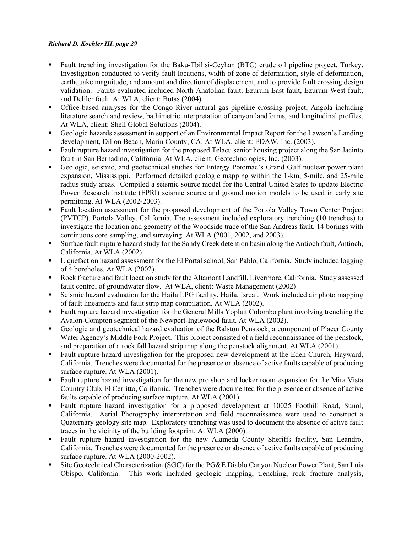- Fault trenching investigation for the Baku-Tbilisi-Ceyhan (BTC) crude oil pipeline project, Turkey. Investigation conducted to verify fault locations, width of zone of deformation, style of deformation, earthquake magnitude, and amount and direction of displacement, and to provide fault crossing design validation. Faults evaluated included North Anatolian fault, Ezurum East fault, Ezurum West fault, and Deliler fault. At WLA, client: Botas (2004).
- Office-based analyses for the Congo River natural gas pipeline crossing project, Angola including literature search and review, bathimetric interpretation of canyon landforms, and longitudinal profiles. At WLA, client: Shell Global Solutions (2004).
- Geologic hazards assessment in support of an Environmental Impact Report for the Lawson's Landing development, Dillon Beach, Marin County, CA. At WLA, client: EDAW, Inc. (2003).
- Fault rupture hazard investigation for the proposed Telacu senior housing project along the San Jacinto fault in San Bernadino, California. At WLA, client: Geotechnologies, Inc. (2003).
- Geologic, seismic, and geotechnical studies for Entergy Potomac's Grand Gulf nuclear power plant expansion, Mississippi. Performed detailed geologic mapping within the 1-km, 5-mile, and 25-mile radius study areas. Compiled a seismic source model for the Central United States to update Electric Power Research Institute (EPRI) seismic source and ground motion models to be used in early site permitting. At WLA (2002-2003).
- Fault location assessment for the proposed development of the Portola Valley Town Center Project (PVTCP), Portola Valley, California. The assessment included exploratory trenching (10 trenches) to investigate the location and geometry of the Woodside trace of the San Andreas fault, 14 borings with continuous core sampling, and surveying. At WLA (2001, 2002, and 2003).
- Surface fault rupture hazard study for the Sandy Creek detention basin along the Antioch fault, Antioch, California. At WLA (2002)
- Liquefaction hazard assessment for the El Portal school, San Pablo, California. Study included logging of 4 boreholes. At WLA (2002).
- Rock fracture and fault location study for the Altamont Landfill, Livermore, California. Study assessed fault control of groundwater flow. At WLA, client: Waste Management (2002)
- Seismic hazard evaluation for the Haifa LPG facility, Haifa, Isreal. Work included air photo mapping of fault lineaments and fault strip map compilation. At WLA (2002).
- Fault rupture hazard investigation for the General Mills Yoplait Colombo plant involving trenching the Avalon-Compton segment of the Newport-Inglewood fault. At WLA (2002).
- Geologic and geotechnical hazard evaluation of the Ralston Penstock, a component of Placer County Water Agency's Middle Fork Project. This project consisted of a field reconnaissance of the penstock, and preparation of a rock fall hazard strip map along the penstock alignment. At WLA (2001).
- Fault rupture hazard investigation for the proposed new development at the Eden Church, Hayward, California. Trenches were documented for the presence or absence of active faults capable of producing surface rupture. At WLA (2001).
- Fault rupture hazard investigation for the new pro shop and locker room expansion for the Mira Vista Country Club, El Cerritto, California. Trenches were documented for the presence or absence of active faults capable of producing surface rupture. At WLA (2001).
- Fault rupture hazard investigation for a proposed development at 10025 Foothill Road, Sunol, California. Aerial Photography interpretation and field reconnaissance were used to construct a Quaternary geology site map. Exploratory trenching was used to document the absence of active fault traces in the vicinity of the building footprint. At WLA (2000).
- Fault rupture hazard investigation for the new Alameda County Sheriffs facility, San Leandro, California. Trenches were documented for the presence or absence of active faults capable of producing surface rupture. At WLA (2000-2002).
- Site Geotechnical Characterization (SGC) for the PG&E Diablo Canyon Nuclear Power Plant, San Luis Obispo, California. This work included geologic mapping, trenching, rock fracture analysis,